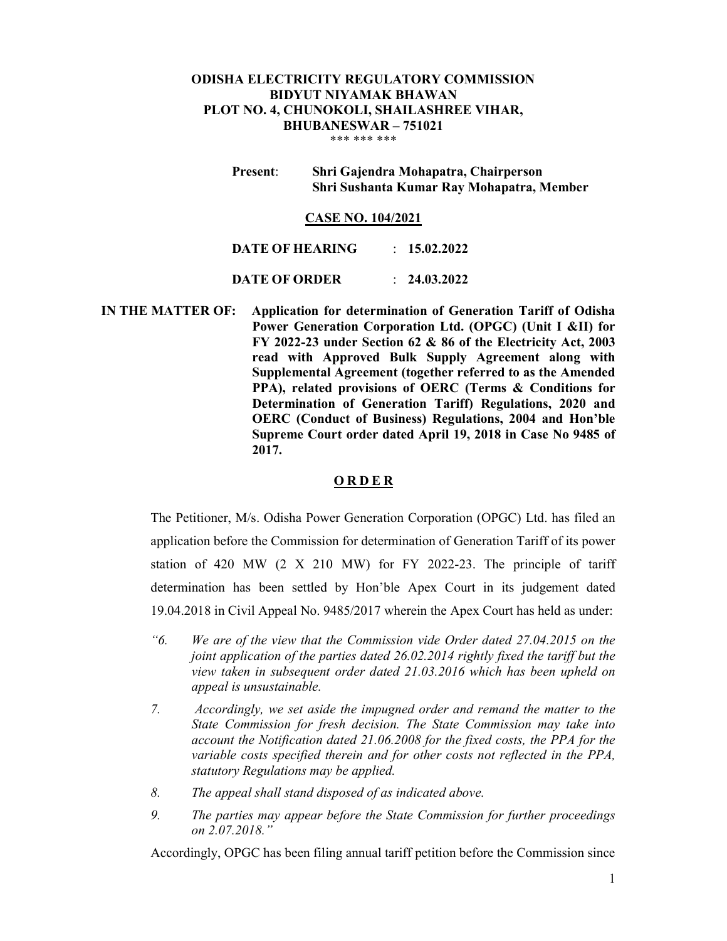## ODISHA ELECTRICITY REGULATORY COMMISSION BIDYUT NIYAMAK BHAWAN PLOT NO. 4, CHUNOKOLI, SHAILASHREE VIHAR, BHUBANESWAR – 751021 \*\*\* \*\*\* \*\*\*

Present: Shri Gajendra Mohapatra, Chairperson Shri Sushanta Kumar Ray Mohapatra, Member

#### CASE NO. 104/2021

DATE OF HEARING : 15.02.2022 DATE OF ORDER : 24.03.2022

 IN THE MATTER OF: Application for determination of Generation Tariff of Odisha Power Generation Corporation Ltd. (OPGC) (Unit I &II) for FY 2022-23 under Section 62 & 86 of the Electricity Act, 2003 read with Approved Bulk Supply Agreement along with Supplemental Agreement (together referred to as the Amended PPA), related provisions of OERC (Terms & Conditions for Determination of Generation Tariff) Regulations, 2020 and OERC (Conduct of Business) Regulations, 2004 and Hon'ble Supreme Court order dated April 19, 2018 in Case No 9485 of 2017.

#### **ORDER**

The Petitioner, M/s. Odisha Power Generation Corporation (OPGC) Ltd. has filed an application before the Commission for determination of Generation Tariff of its power station of 420 MW (2 X 210 MW) for FY 2022-23. The principle of tariff determination has been settled by Hon'ble Apex Court in its judgement dated 19.04.2018 in Civil Appeal No. 9485/2017 wherein the Apex Court has held as under:

- "6. We are of the view that the Commission vide Order dated 27.04.2015 on the joint application of the parties dated 26.02.2014 rightly fixed the tariff but the view taken in subsequent order dated 21.03.2016 which has been upheld on appeal is unsustainable.
- 7. Accordingly, we set aside the impugned order and remand the matter to the State Commission for fresh decision. The State Commission may take into account the Notification dated 21.06.2008 for the fixed costs, the PPA for the variable costs specified therein and for other costs not reflected in the PPA, statutory Regulations may be applied.
- 8. The appeal shall stand disposed of as indicated above.
- 9. The parties may appear before the State Commission for further proceedings on 2.07.2018."

Accordingly, OPGC has been filing annual tariff petition before the Commission since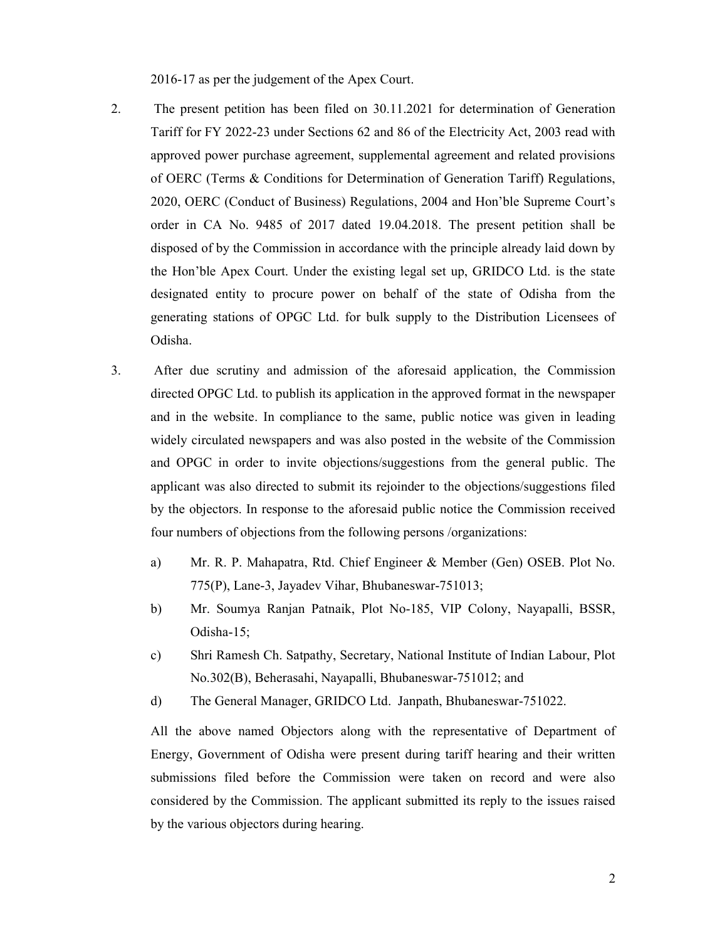2016-17 as per the judgement of the Apex Court.

- 2. The present petition has been filed on 30.11.2021 for determination of Generation Tariff for FY 2022-23 under Sections 62 and 86 of the Electricity Act, 2003 read with approved power purchase agreement, supplemental agreement and related provisions of OERC (Terms & Conditions for Determination of Generation Tariff) Regulations, 2020, OERC (Conduct of Business) Regulations, 2004 and Hon'ble Supreme Court's order in CA No. 9485 of 2017 dated 19.04.2018. The present petition shall be disposed of by the Commission in accordance with the principle already laid down by the Hon'ble Apex Court. Under the existing legal set up, GRIDCO Ltd. is the state designated entity to procure power on behalf of the state of Odisha from the generating stations of OPGC Ltd. for bulk supply to the Distribution Licensees of Odisha.
- 3. After due scrutiny and admission of the aforesaid application, the Commission directed OPGC Ltd. to publish its application in the approved format in the newspaper and in the website. In compliance to the same, public notice was given in leading widely circulated newspapers and was also posted in the website of the Commission and OPGC in order to invite objections/suggestions from the general public. The applicant was also directed to submit its rejoinder to the objections/suggestions filed by the objectors. In response to the aforesaid public notice the Commission received four numbers of objections from the following persons /organizations:
	- a) Mr. R. P. Mahapatra, Rtd. Chief Engineer & Member (Gen) OSEB. Plot No. 775(P), Lane-3, Jayadev Vihar, Bhubaneswar-751013;
	- b) Mr. Soumya Ranjan Patnaik, Plot No-185, VIP Colony, Nayapalli, BSSR, Odisha-15;
	- c) Shri Ramesh Ch. Satpathy, Secretary, National Institute of Indian Labour, Plot No.302(B), Beherasahi, Nayapalli, Bhubaneswar-751012; and
	- d) The General Manager, GRIDCO Ltd. Janpath, Bhubaneswar-751022.

All the above named Objectors along with the representative of Department of Energy, Government of Odisha were present during tariff hearing and their written submissions filed before the Commission were taken on record and were also considered by the Commission. The applicant submitted its reply to the issues raised by the various objectors during hearing.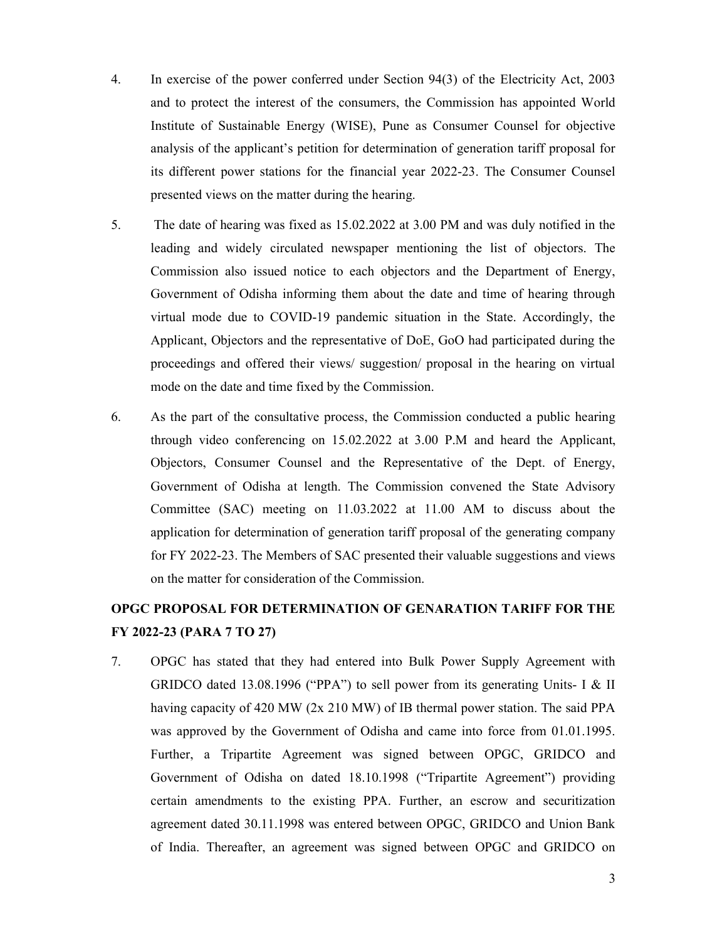- 4. In exercise of the power conferred under Section 94(3) of the Electricity Act, 2003 and to protect the interest of the consumers, the Commission has appointed World Institute of Sustainable Energy (WISE), Pune as Consumer Counsel for objective analysis of the applicant's petition for determination of generation tariff proposal for its different power stations for the financial year 2022-23. The Consumer Counsel presented views on the matter during the hearing.
- 5. The date of hearing was fixed as 15.02.2022 at 3.00 PM and was duly notified in the leading and widely circulated newspaper mentioning the list of objectors. The Commission also issued notice to each objectors and the Department of Energy, Government of Odisha informing them about the date and time of hearing through virtual mode due to COVID-19 pandemic situation in the State. Accordingly, the Applicant, Objectors and the representative of DoE, GoO had participated during the proceedings and offered their views/ suggestion/ proposal in the hearing on virtual mode on the date and time fixed by the Commission.
- 6. As the part of the consultative process, the Commission conducted a public hearing through video conferencing on 15.02.2022 at 3.00 P.M and heard the Applicant, Objectors, Consumer Counsel and the Representative of the Dept. of Energy, Government of Odisha at length. The Commission convened the State Advisory Committee (SAC) meeting on 11.03.2022 at 11.00 AM to discuss about the application for determination of generation tariff proposal of the generating company for FY 2022-23. The Members of SAC presented their valuable suggestions and views on the matter for consideration of the Commission.

# OPGC PROPOSAL FOR DETERMINATION OF GENARATION TARIFF FOR THE FY 2022-23 (PARA 7 TO 27)

7. OPGC has stated that they had entered into Bulk Power Supply Agreement with GRIDCO dated 13.08.1996 ("PPA") to sell power from its generating Units- I & II having capacity of 420 MW (2x 210 MW) of IB thermal power station. The said PPA was approved by the Government of Odisha and came into force from 01.01.1995. Further, a Tripartite Agreement was signed between OPGC, GRIDCO and Government of Odisha on dated 18.10.1998 ("Tripartite Agreement") providing certain amendments to the existing PPA. Further, an escrow and securitization agreement dated 30.11.1998 was entered between OPGC, GRIDCO and Union Bank of India. Thereafter, an agreement was signed between OPGC and GRIDCO on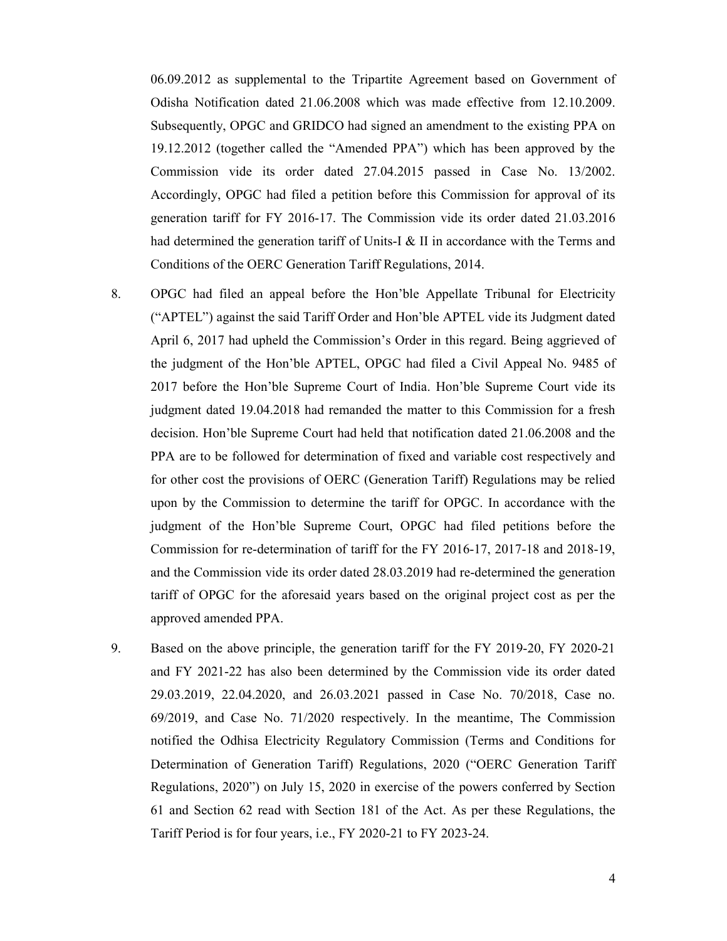06.09.2012 as supplemental to the Tripartite Agreement based on Government of Odisha Notification dated 21.06.2008 which was made effective from 12.10.2009. Subsequently, OPGC and GRIDCO had signed an amendment to the existing PPA on 19.12.2012 (together called the "Amended PPA") which has been approved by the Commission vide its order dated 27.04.2015 passed in Case No. 13/2002. Accordingly, OPGC had filed a petition before this Commission for approval of its generation tariff for FY 2016-17. The Commission vide its order dated 21.03.2016 had determined the generation tariff of Units-I & II in accordance with the Terms and Conditions of the OERC Generation Tariff Regulations, 2014.

- 8. OPGC had filed an appeal before the Hon'ble Appellate Tribunal for Electricity ("APTEL") against the said Tariff Order and Hon'ble APTEL vide its Judgment dated April 6, 2017 had upheld the Commission's Order in this regard. Being aggrieved of the judgment of the Hon'ble APTEL, OPGC had filed a Civil Appeal No. 9485 of 2017 before the Hon'ble Supreme Court of India. Hon'ble Supreme Court vide its judgment dated 19.04.2018 had remanded the matter to this Commission for a fresh decision. Hon'ble Supreme Court had held that notification dated 21.06.2008 and the PPA are to be followed for determination of fixed and variable cost respectively and for other cost the provisions of OERC (Generation Tariff) Regulations may be relied upon by the Commission to determine the tariff for OPGC. In accordance with the judgment of the Hon'ble Supreme Court, OPGC had filed petitions before the Commission for re-determination of tariff for the FY 2016-17, 2017-18 and 2018-19, and the Commission vide its order dated 28.03.2019 had re-determined the generation tariff of OPGC for the aforesaid years based on the original project cost as per the approved amended PPA.
- 9. Based on the above principle, the generation tariff for the FY 2019-20, FY 2020-21 and FY 2021-22 has also been determined by the Commission vide its order dated 29.03.2019, 22.04.2020, and 26.03.2021 passed in Case No. 70/2018, Case no. 69/2019, and Case No. 71/2020 respectively. In the meantime, The Commission notified the Odhisa Electricity Regulatory Commission (Terms and Conditions for Determination of Generation Tariff) Regulations, 2020 ("OERC Generation Tariff Regulations, 2020") on July 15, 2020 in exercise of the powers conferred by Section 61 and Section 62 read with Section 181 of the Act. As per these Regulations, the Tariff Period is for four years, i.e., FY 2020-21 to FY 2023-24.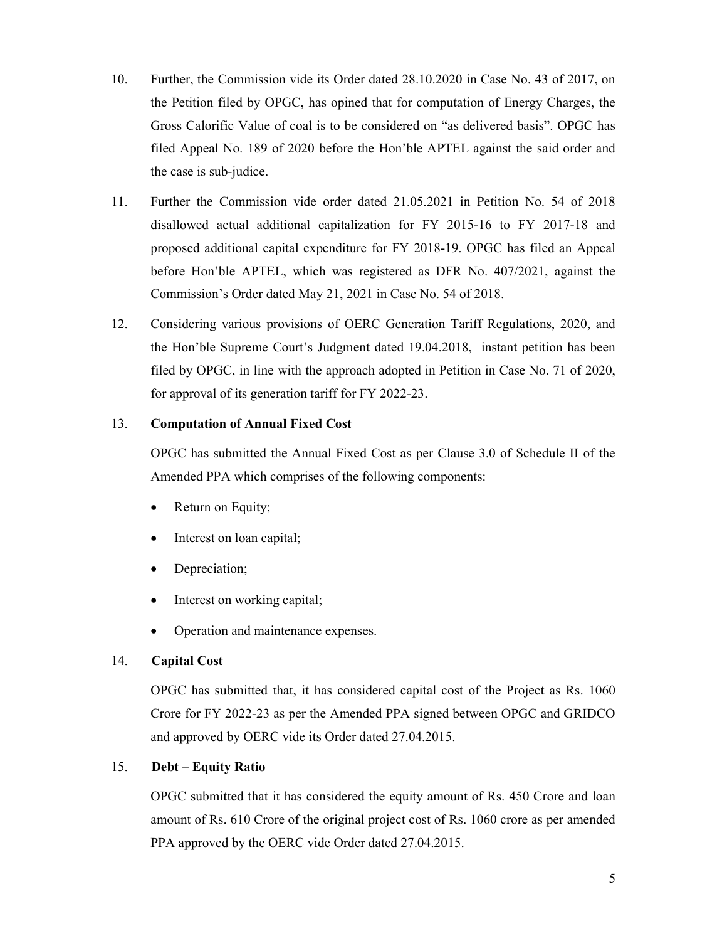- 10. Further, the Commission vide its Order dated 28.10.2020 in Case No. 43 of 2017, on the Petition filed by OPGC, has opined that for computation of Energy Charges, the Gross Calorific Value of coal is to be considered on "as delivered basis". OPGC has filed Appeal No. 189 of 2020 before the Hon'ble APTEL against the said order and the case is sub-judice.
- 11. Further the Commission vide order dated 21.05.2021 in Petition No. 54 of 2018 disallowed actual additional capitalization for FY 2015-16 to FY 2017-18 and proposed additional capital expenditure for FY 2018-19. OPGC has filed an Appeal before Hon'ble APTEL, which was registered as DFR No. 407/2021, against the Commission's Order dated May 21, 2021 in Case No. 54 of 2018.
- 12. Considering various provisions of OERC Generation Tariff Regulations, 2020, and the Hon'ble Supreme Court's Judgment dated 19.04.2018, instant petition has been filed by OPGC, in line with the approach adopted in Petition in Case No. 71 of 2020, for approval of its generation tariff for FY 2022-23.

# 13. Computation of Annual Fixed Cost

OPGC has submitted the Annual Fixed Cost as per Clause 3.0 of Schedule II of the Amended PPA which comprises of the following components:

- Return on Equity;
- Interest on loan capital;
- Depreciation;
- Interest on working capital;
- Operation and maintenance expenses.

# 14. Capital Cost

OPGC has submitted that, it has considered capital cost of the Project as Rs. 1060 Crore for FY 2022-23 as per the Amended PPA signed between OPGC and GRIDCO and approved by OERC vide its Order dated 27.04.2015.

# 15. Debt – Equity Ratio

OPGC submitted that it has considered the equity amount of Rs. 450 Crore and loan amount of Rs. 610 Crore of the original project cost of Rs. 1060 crore as per amended PPA approved by the OERC vide Order dated 27.04.2015.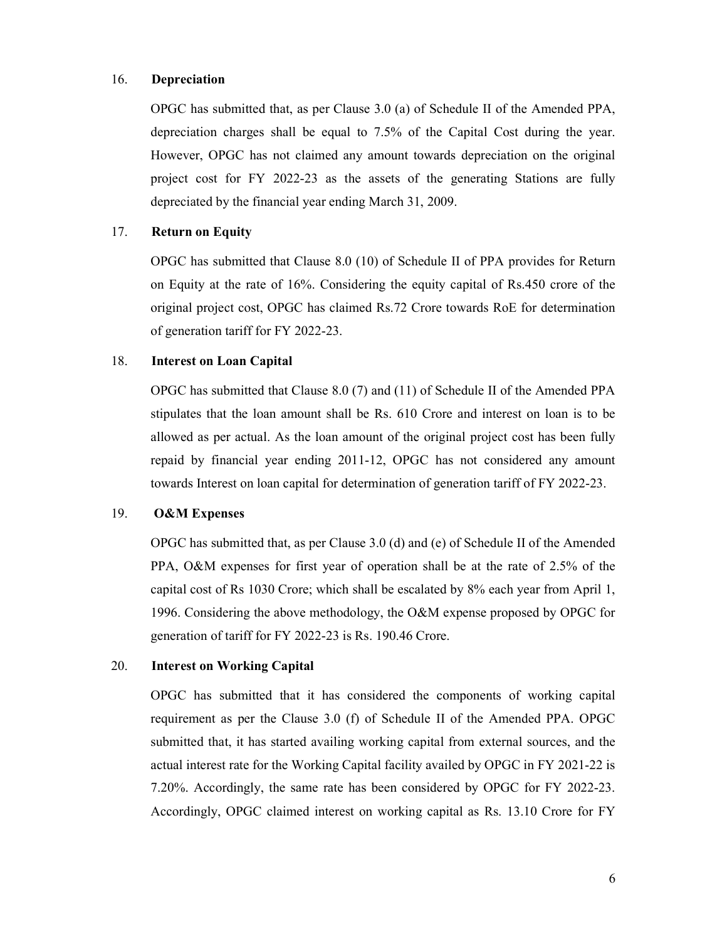# 16. Depreciation

OPGC has submitted that, as per Clause 3.0 (a) of Schedule II of the Amended PPA, depreciation charges shall be equal to 7.5% of the Capital Cost during the year. However, OPGC has not claimed any amount towards depreciation on the original project cost for FY 2022-23 as the assets of the generating Stations are fully depreciated by the financial year ending March 31, 2009.

# 17. Return on Equity

OPGC has submitted that Clause 8.0 (10) of Schedule II of PPA provides for Return on Equity at the rate of 16%. Considering the equity capital of Rs.450 crore of the original project cost, OPGC has claimed Rs.72 Crore towards RoE for determination of generation tariff for FY 2022-23.

### 18. Interest on Loan Capital

OPGC has submitted that Clause 8.0 (7) and (11) of Schedule II of the Amended PPA stipulates that the loan amount shall be Rs. 610 Crore and interest on loan is to be allowed as per actual. As the loan amount of the original project cost has been fully repaid by financial year ending 2011-12, OPGC has not considered any amount towards Interest on loan capital for determination of generation tariff of FY 2022-23.

# 19. O&M Expenses

OPGC has submitted that, as per Clause 3.0 (d) and (e) of Schedule II of the Amended PPA, O&M expenses for first year of operation shall be at the rate of 2.5% of the capital cost of Rs 1030 Crore; which shall be escalated by 8% each year from April 1, 1996. Considering the above methodology, the O&M expense proposed by OPGC for generation of tariff for FY 2022-23 is Rs. 190.46 Crore.

# 20. Interest on Working Capital

OPGC has submitted that it has considered the components of working capital requirement as per the Clause 3.0 (f) of Schedule II of the Amended PPA. OPGC submitted that, it has started availing working capital from external sources, and the actual interest rate for the Working Capital facility availed by OPGC in FY 2021-22 is 7.20%. Accordingly, the same rate has been considered by OPGC for FY 2022-23. Accordingly, OPGC claimed interest on working capital as Rs. 13.10 Crore for FY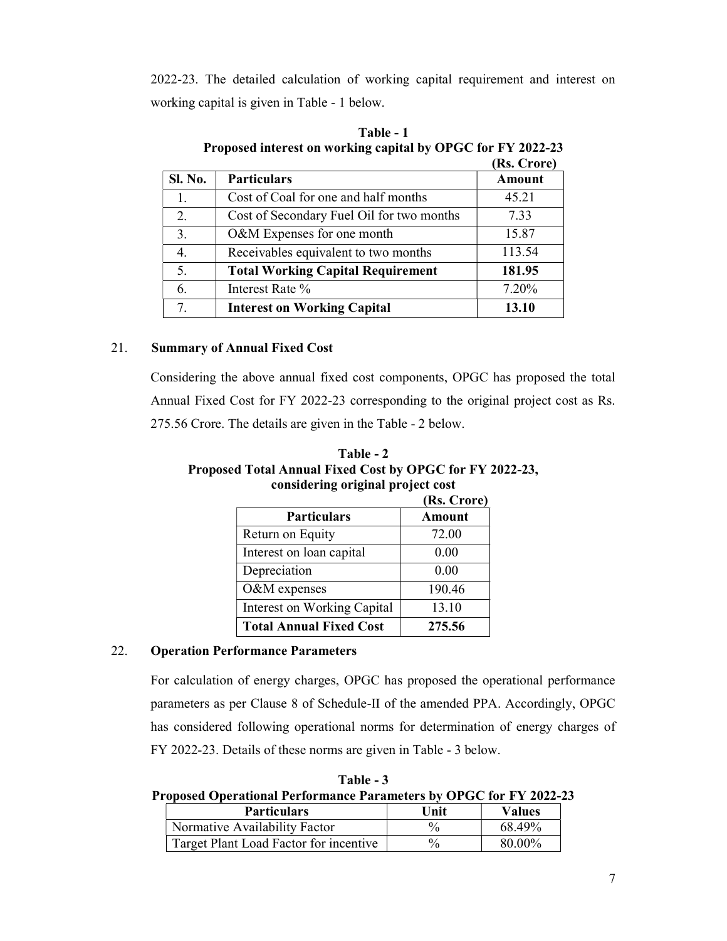2022-23. The detailed calculation of working capital requirement and interest on working capital is given in Table - 1 below.

|         |                                           | (RS. Crore)   |
|---------|-------------------------------------------|---------------|
| Sl. No. | <b>Particulars</b>                        | <b>Amount</b> |
|         | Cost of Coal for one and half months      | 45.21         |
| 2.      | Cost of Secondary Fuel Oil for two months | 7.33          |
| 3.      | O&M Expenses for one month                | 15.87         |
| 4.      | Receivables equivalent to two months      | 113.54        |
| 5.      | <b>Total Working Capital Requirement</b>  | 181.95        |
| 6.      | Interest Rate %                           | 7.20%         |
|         | <b>Interest on Working Capital</b>        | 13.10         |

| Table - 1                                                   |
|-------------------------------------------------------------|
| Proposed interest on working capital by OPGC for FY 2022-23 |
| (D <sub>a</sub> , C <sub>non</sub> )                        |

# 21. Summary of Annual Fixed Cost

Considering the above annual fixed cost components, OPGC has proposed the total Annual Fixed Cost for FY 2022-23 corresponding to the original project cost as Rs. 275.56 Crore. The details are given in the Table - 2 below.

| Table - 2                                                |
|----------------------------------------------------------|
| Proposed Total Annual Fixed Cost by OPGC for FY 2022-23, |
| considering original project cost                        |

| (Rs. Crore)                    |               |
|--------------------------------|---------------|
| <b>Particulars</b>             | <b>Amount</b> |
| Return on Equity               | 72.00         |
| Interest on loan capital       | 0.00          |
| Depreciation                   | 0.00          |
| O&M expenses                   | 190.46        |
| Interest on Working Capital    | 13.10         |
| <b>Total Annual Fixed Cost</b> | 275.56        |

# 22. Operation Performance Parameters

For calculation of energy charges, OPGC has proposed the operational performance parameters as per Clause 8 of Schedule-II of the amended PPA. Accordingly, OPGC has considered following operational norms for determination of energy charges of FY 2022-23. Details of these norms are given in Table - 3 below.

Table - 3 Proposed Operational Performance Parameters by OPGC for FY 2022-23

| <b>Particulars</b>                     | Unit | <b>Values</b> |
|----------------------------------------|------|---------------|
| Normative Availability Factor          | 0/   | 68.49%        |
| Target Plant Load Factor for incentive | $\%$ | 80.00%        |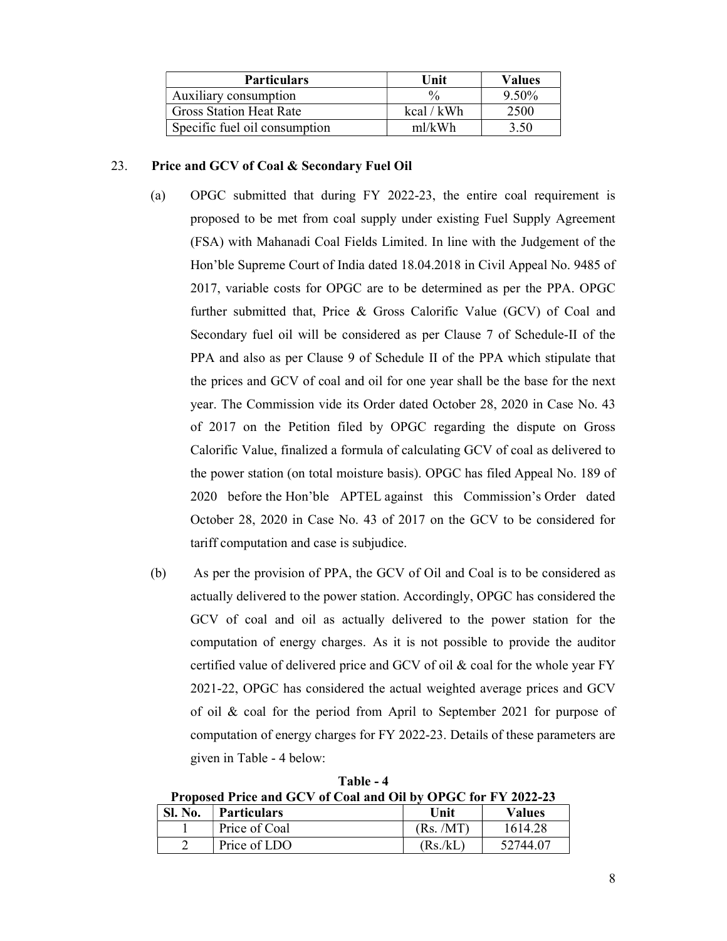| <b>Particulars</b>             | Unit          | <b>Values</b> |
|--------------------------------|---------------|---------------|
| Auxiliary consumption          | $\frac{0}{0}$ | 9.50%         |
| <b>Gross Station Heat Rate</b> | kcal / kWh    | 2500          |
| Specific fuel oil consumption  | $m$ l/kWh     | 3.50          |

# 23. Price and GCV of Coal & Secondary Fuel Oil

- (a) OPGC submitted that during FY 2022-23, the entire coal requirement is proposed to be met from coal supply under existing Fuel Supply Agreement (FSA) with Mahanadi Coal Fields Limited. In line with the Judgement of the Hon'ble Supreme Court of India dated 18.04.2018 in Civil Appeal No. 9485 of 2017, variable costs for OPGC are to be determined as per the PPA. OPGC further submitted that, Price & Gross Calorific Value (GCV) of Coal and Secondary fuel oil will be considered as per Clause 7 of Schedule-II of the PPA and also as per Clause 9 of Schedule II of the PPA which stipulate that the prices and GCV of coal and oil for one year shall be the base for the next year. The Commission vide its Order dated October 28, 2020 in Case No. 43 of 2017 on the Petition filed by OPGC regarding the dispute on Gross Calorific Value, finalized a formula of calculating GCV of coal as delivered to the power station (on total moisture basis). OPGC has filed Appeal No. 189 of 2020 before the Hon'ble APTEL against this Commission's Order dated October 28, 2020 in Case No. 43 of 2017 on the GCV to be considered for tariff computation and case is subjudice.
- (b) As per the provision of PPA, the GCV of Oil and Coal is to be considered as actually delivered to the power station. Accordingly, OPGC has considered the GCV of coal and oil as actually delivered to the power station for the computation of energy charges. As it is not possible to provide the auditor certified value of delivered price and GCV of oil & coal for the whole year FY 2021-22, OPGC has considered the actual weighted average prices and GCV of oil & coal for the period from April to September 2021 for purpose of computation of energy charges for FY 2022-23. Details of these parameters are given in Table - 4 below:

Table - 4 Proposed Price and GCV of Coal and Oil by OPGC for FY 2022-23

| <b>Sl. No.</b> | Particulars   | Unit      | Values   |
|----------------|---------------|-----------|----------|
|                | Price of Coal | (Rs. /MT) | 1614.28  |
|                | Price of LDO  | (Rs/kL)   | 52744.07 |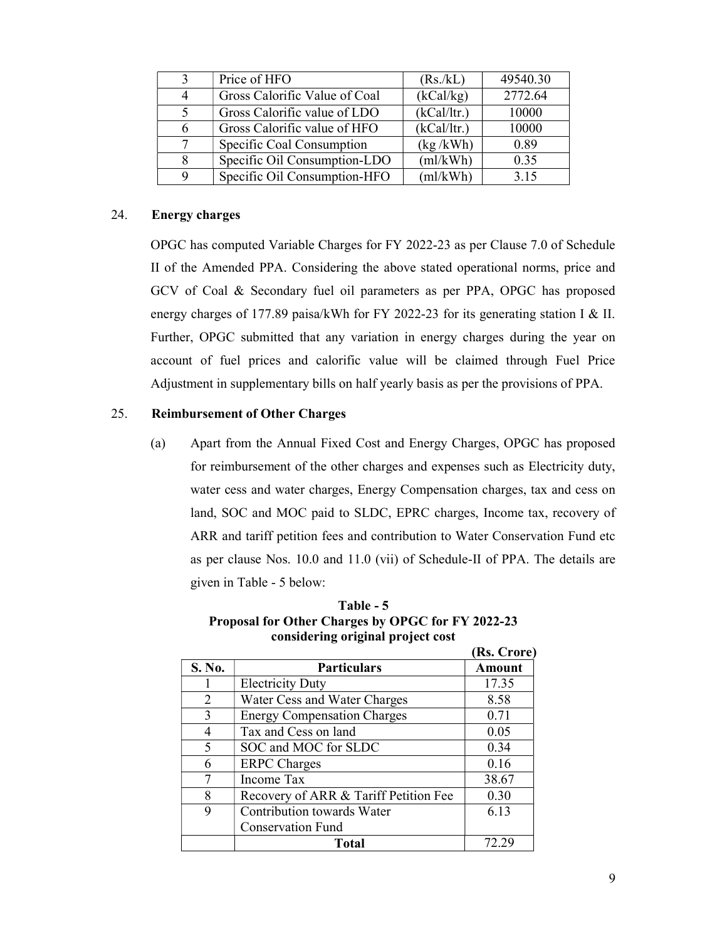| $\mathbf{3}$ | Price of HFO                  | (Rs/kL)     | 49540.30 |
|--------------|-------------------------------|-------------|----------|
| 4            | Gross Calorific Value of Coal | (kCal/kg)   | 2772.64  |
| $\sim$       | Gross Calorific value of LDO  | (kCal/ltr.) | 10000    |
| 6            | Gross Calorific value of HFO  | (kCal/ltr.) | 10000    |
| 7            | Specific Coal Consumption     | (kg/kWh)    | 0.89     |
| 8            | Specific Oil Consumption-LDO  | (ml/kWh)    | 0.35     |
| Q            | Specific Oil Consumption-HFO  | (ml/kWh)    | 3.15     |

# 24. Energy charges

OPGC has computed Variable Charges for FY 2022-23 as per Clause 7.0 of Schedule II of the Amended PPA. Considering the above stated operational norms, price and GCV of Coal & Secondary fuel oil parameters as per PPA, OPGC has proposed energy charges of 177.89 paisa/kWh for FY 2022-23 for its generating station I & II. Further, OPGC submitted that any variation in energy charges during the year on account of fuel prices and calorific value will be claimed through Fuel Price Adjustment in supplementary bills on half yearly basis as per the provisions of PPA.

# 25. Reimbursement of Other Charges

(a) Apart from the Annual Fixed Cost and Energy Charges, OPGC has proposed for reimbursement of the other charges and expenses such as Electricity duty, water cess and water charges, Energy Compensation charges, tax and cess on land, SOC and MOC paid to SLDC, EPRC charges, Income tax, recovery of ARR and tariff petition fees and contribution to Water Conservation Fund etc as per clause Nos. 10.0 and 11.0 (vii) of Schedule-II of PPA. The details are given in Table - 5 below:

|                             |                                       | (Rs. Crore)   |
|-----------------------------|---------------------------------------|---------------|
| S. No.                      | <b>Particulars</b>                    | <b>Amount</b> |
|                             | <b>Electricity Duty</b>               | 17.35         |
| $\mathcal{D}_{\mathcal{L}}$ | Water Cess and Water Charges          | 8.58          |
| 3                           | <b>Energy Compensation Charges</b>    | 0.71          |
| $\overline{4}$              | Tax and Cess on land                  | 0.05          |
| $\varsigma$                 | SOC and MOC for SLDC                  | 0.34          |
| 6                           | <b>ERPC</b> Charges                   | 0.16          |
|                             | Income Tax                            | 38.67         |
| 8                           | Recovery of ARR & Tariff Petition Fee | 0.30          |
| 9                           | Contribution towards Water            | 6.13          |
|                             | <b>Conservation Fund</b>              |               |
|                             | Total                                 |               |

Table - 5 Proposal for Other Charges by OPGC for FY 2022-23 considering original project cost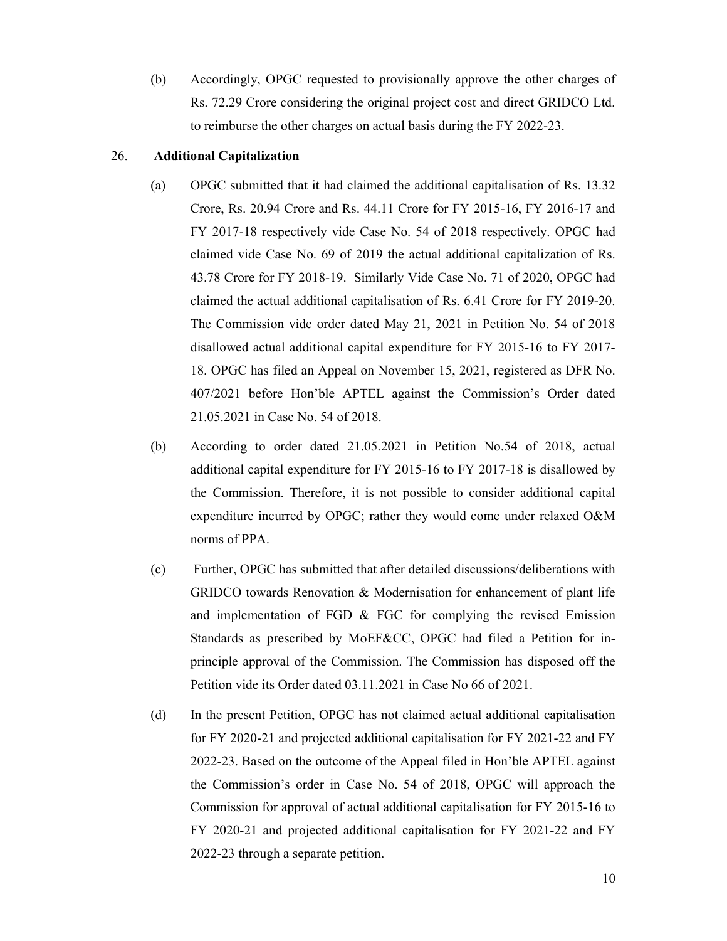(b) Accordingly, OPGC requested to provisionally approve the other charges of Rs. 72.29 Crore considering the original project cost and direct GRIDCO Ltd. to reimburse the other charges on actual basis during the FY 2022-23.

# 26. Additional Capitalization

- (a) OPGC submitted that it had claimed the additional capitalisation of Rs. 13.32 Crore, Rs. 20.94 Crore and Rs. 44.11 Crore for FY 2015-16, FY 2016-17 and FY 2017-18 respectively vide Case No. 54 of 2018 respectively. OPGC had claimed vide Case No. 69 of 2019 the actual additional capitalization of Rs. 43.78 Crore for FY 2018-19. Similarly Vide Case No. 71 of 2020, OPGC had claimed the actual additional capitalisation of Rs. 6.41 Crore for FY 2019-20. The Commission vide order dated May 21, 2021 in Petition No. 54 of 2018 disallowed actual additional capital expenditure for FY 2015-16 to FY 2017- 18. OPGC has filed an Appeal on November 15, 2021, registered as DFR No. 407/2021 before Hon'ble APTEL against the Commission's Order dated 21.05.2021 in Case No. 54 of 2018.
- (b) According to order dated 21.05.2021 in Petition No.54 of 2018, actual additional capital expenditure for FY 2015-16 to FY 2017-18 is disallowed by the Commission. Therefore, it is not possible to consider additional capital expenditure incurred by OPGC; rather they would come under relaxed O&M norms of PPA.
- (c) Further, OPGC has submitted that after detailed discussions/deliberations with GRIDCO towards Renovation & Modernisation for enhancement of plant life and implementation of FGD & FGC for complying the revised Emission Standards as prescribed by MoEF&CC, OPGC had filed a Petition for inprinciple approval of the Commission. The Commission has disposed off the Petition vide its Order dated 03.11.2021 in Case No 66 of 2021.
- (d) In the present Petition, OPGC has not claimed actual additional capitalisation for FY 2020-21 and projected additional capitalisation for FY 2021-22 and FY 2022-23. Based on the outcome of the Appeal filed in Hon'ble APTEL against the Commission's order in Case No. 54 of 2018, OPGC will approach the Commission for approval of actual additional capitalisation for FY 2015-16 to FY 2020-21 and projected additional capitalisation for FY 2021-22 and FY 2022-23 through a separate petition.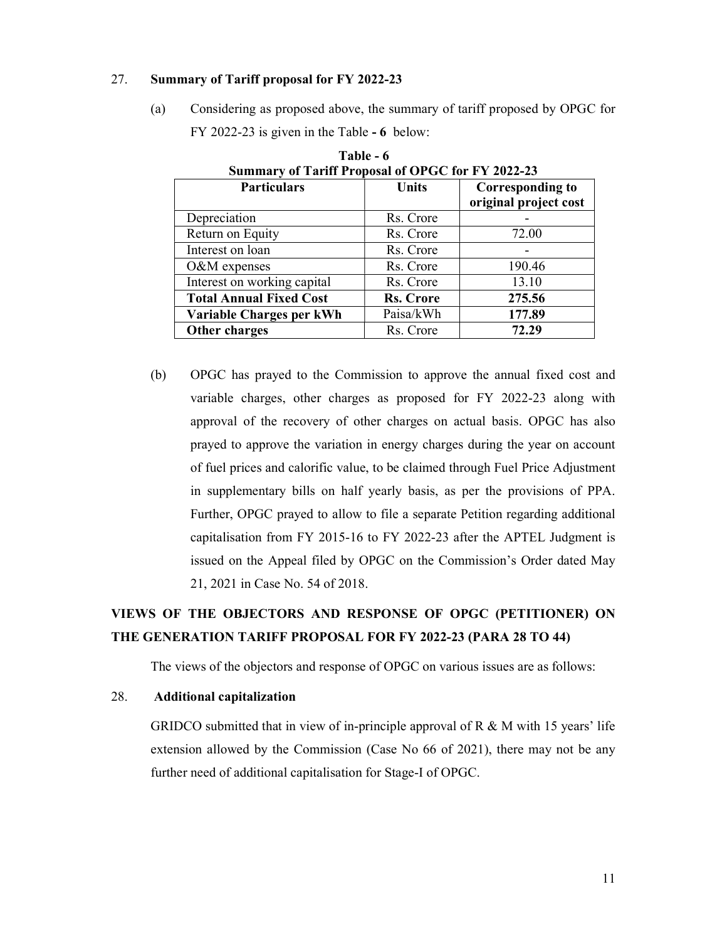#### 27. Summary of Tariff proposal for FY 2022-23

(a) Considering as proposed above, the summary of tariff proposed by OPGC for FY 2022-23 is given in the Table - 6 below:

| Summary of Tariff Proposal of OPGC for FY 2022-23 |                  |                         |  |
|---------------------------------------------------|------------------|-------------------------|--|
| <b>Particulars</b>                                | <b>Units</b>     | <b>Corresponding to</b> |  |
|                                                   |                  | original project cost   |  |
| Depreciation                                      | Rs. Crore        |                         |  |
| Return on Equity                                  | Rs. Crore        | 72.00                   |  |
| Interest on loan                                  | Rs. Crore        |                         |  |
| O&M expenses                                      | Rs. Crore        | 190.46                  |  |
| Interest on working capital                       | Rs. Crore        | 13.10                   |  |
| <b>Total Annual Fixed Cost</b>                    | <b>Rs. Crore</b> | 275.56                  |  |
| Variable Charges per kWh                          | Paisa/kWh        | 177.89                  |  |
| Other charges                                     | Rs. Crore        | 72.29                   |  |

Table - 6 Summary of Tariff Proposal of OPGC for FY 2022-23

(b) OPGC has prayed to the Commission to approve the annual fixed cost and variable charges, other charges as proposed for FY 2022-23 along with approval of the recovery of other charges on actual basis. OPGC has also prayed to approve the variation in energy charges during the year on account of fuel prices and calorific value, to be claimed through Fuel Price Adjustment in supplementary bills on half yearly basis, as per the provisions of PPA. Further, OPGC prayed to allow to file a separate Petition regarding additional capitalisation from FY 2015-16 to FY 2022-23 after the APTEL Judgment is issued on the Appeal filed by OPGC on the Commission's Order dated May 21, 2021 in Case No. 54 of 2018.

# VIEWS OF THE OBJECTORS AND RESPONSE OF OPGC (PETITIONER) ON THE GENERATION TARIFF PROPOSAL FOR FY 2022-23 (PARA 28 TO 44)

The views of the objectors and response of OPGC on various issues are as follows:

### 28. Additional capitalization

GRIDCO submitted that in view of in-principle approval of R & M with 15 years' life extension allowed by the Commission (Case No 66 of 2021), there may not be any further need of additional capitalisation for Stage-I of OPGC.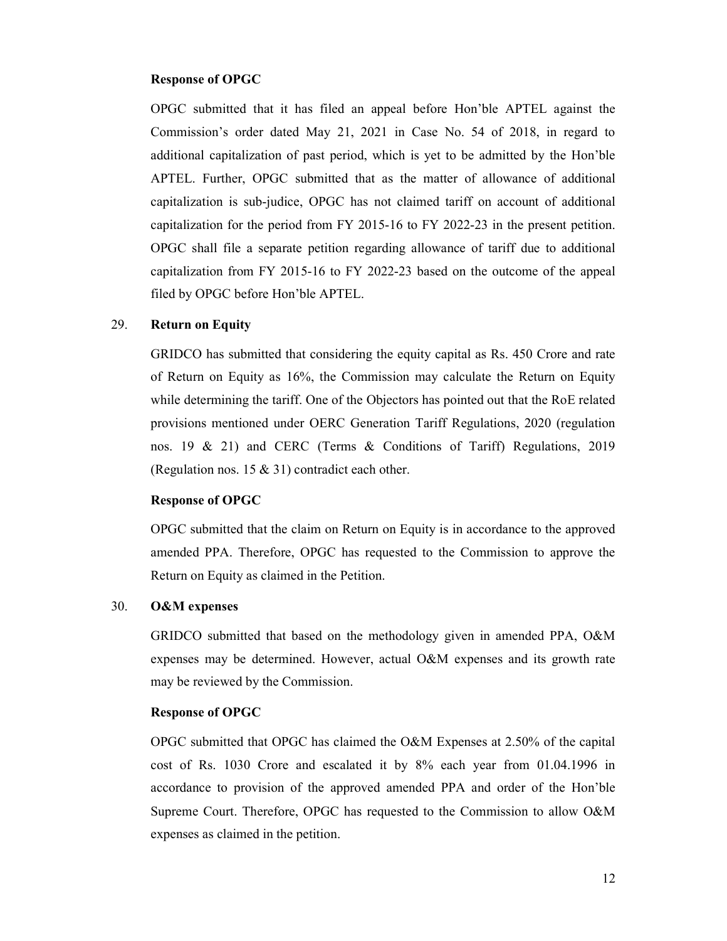#### Response of OPGC

OPGC submitted that it has filed an appeal before Hon'ble APTEL against the Commission's order dated May 21, 2021 in Case No. 54 of 2018, in regard to additional capitalization of past period, which is yet to be admitted by the Hon'ble APTEL. Further, OPGC submitted that as the matter of allowance of additional capitalization is sub-judice, OPGC has not claimed tariff on account of additional capitalization for the period from FY 2015-16 to FY 2022-23 in the present petition. OPGC shall file a separate petition regarding allowance of tariff due to additional capitalization from FY 2015-16 to FY 2022-23 based on the outcome of the appeal filed by OPGC before Hon'ble APTEL.

# 29. Return on Equity

GRIDCO has submitted that considering the equity capital as Rs. 450 Crore and rate of Return on Equity as 16%, the Commission may calculate the Return on Equity while determining the tariff. One of the Objectors has pointed out that the RoE related provisions mentioned under OERC Generation Tariff Regulations, 2020 (regulation nos. 19 & 21) and CERC (Terms & Conditions of Tariff) Regulations, 2019 (Regulation nos. 15 & 31) contradict each other.

#### Response of OPGC

OPGC submitted that the claim on Return on Equity is in accordance to the approved amended PPA. Therefore, OPGC has requested to the Commission to approve the Return on Equity as claimed in the Petition.

#### 30. O&M expenses

GRIDCO submitted that based on the methodology given in amended PPA, O&M expenses may be determined. However, actual O&M expenses and its growth rate may be reviewed by the Commission.

#### Response of OPGC

OPGC submitted that OPGC has claimed the O&M Expenses at 2.50% of the capital cost of Rs. 1030 Crore and escalated it by 8% each year from 01.04.1996 in accordance to provision of the approved amended PPA and order of the Hon'ble Supreme Court. Therefore, OPGC has requested to the Commission to allow O&M expenses as claimed in the petition.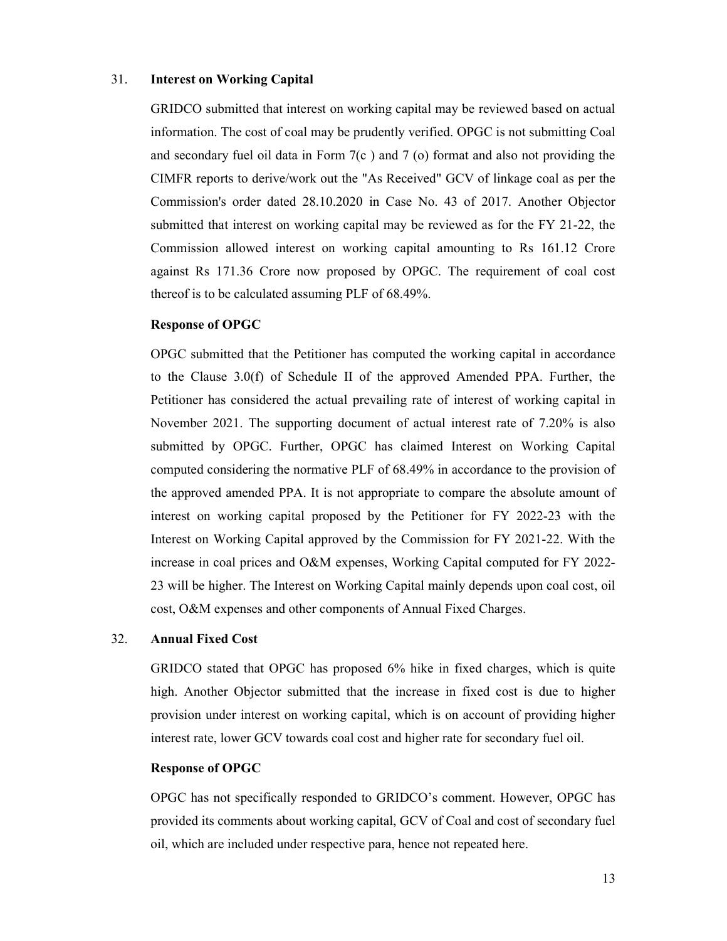# 31. Interest on Working Capital

GRIDCO submitted that interest on working capital may be reviewed based on actual information. The cost of coal may be prudently verified. OPGC is not submitting Coal and secondary fuel oil data in Form 7(c ) and 7 (o) format and also not providing the CIMFR reports to derive/work out the "As Received" GCV of linkage coal as per the Commission's order dated 28.10.2020 in Case No. 43 of 2017. Another Objector submitted that interest on working capital may be reviewed as for the FY 21-22, the Commission allowed interest on working capital amounting to Rs 161.12 Crore against Rs 171.36 Crore now proposed by OPGC. The requirement of coal cost thereof is to be calculated assuming PLF of 68.49%.

#### Response of OPGC

OPGC submitted that the Petitioner has computed the working capital in accordance to the Clause 3.0(f) of Schedule II of the approved Amended PPA. Further, the Petitioner has considered the actual prevailing rate of interest of working capital in November 2021. The supporting document of actual interest rate of 7.20% is also submitted by OPGC. Further, OPGC has claimed Interest on Working Capital computed considering the normative PLF of 68.49% in accordance to the provision of the approved amended PPA. It is not appropriate to compare the absolute amount of interest on working capital proposed by the Petitioner for FY 2022-23 with the Interest on Working Capital approved by the Commission for FY 2021-22. With the increase in coal prices and O&M expenses, Working Capital computed for FY 2022- 23 will be higher. The Interest on Working Capital mainly depends upon coal cost, oil cost, O&M expenses and other components of Annual Fixed Charges.

#### 32. Annual Fixed Cost

GRIDCO stated that OPGC has proposed 6% hike in fixed charges, which is quite high. Another Objector submitted that the increase in fixed cost is due to higher provision under interest on working capital, which is on account of providing higher interest rate, lower GCV towards coal cost and higher rate for secondary fuel oil.

#### Response of OPGC

OPGC has not specifically responded to GRIDCO's comment. However, OPGC has provided its comments about working capital, GCV of Coal and cost of secondary fuel oil, which are included under respective para, hence not repeated here.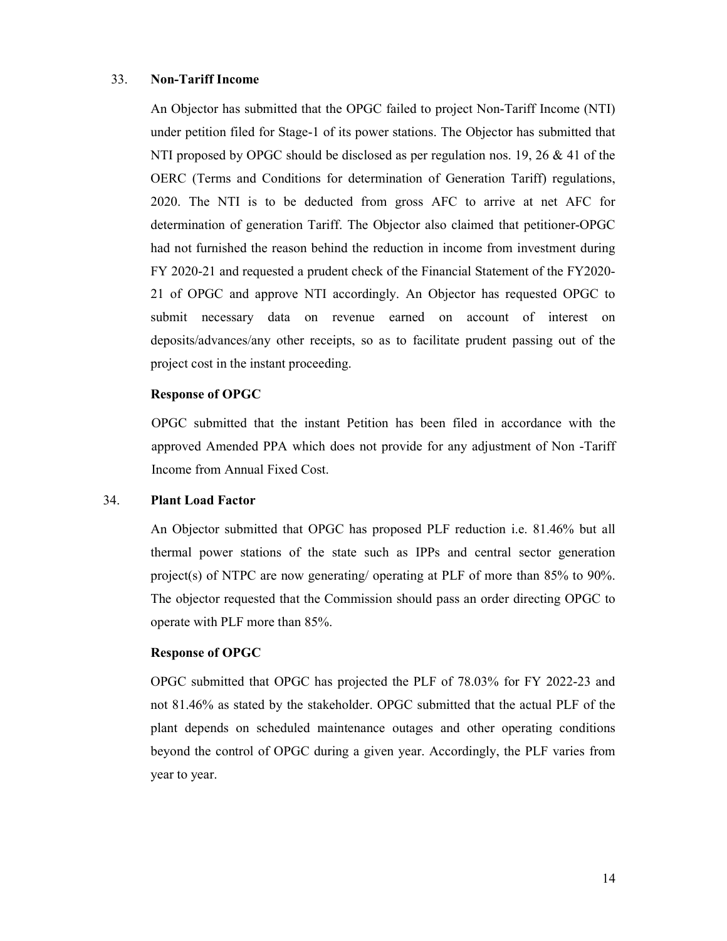# 33. Non-Tariff Income

An Objector has submitted that the OPGC failed to project Non-Tariff Income (NTI) under petition filed for Stage-1 of its power stations. The Objector has submitted that NTI proposed by OPGC should be disclosed as per regulation nos. 19, 26 & 41 of the OERC (Terms and Conditions for determination of Generation Tariff) regulations, 2020. The NTI is to be deducted from gross AFC to arrive at net AFC for determination of generation Tariff. The Objector also claimed that petitioner-OPGC had not furnished the reason behind the reduction in income from investment during FY 2020-21 and requested a prudent check of the Financial Statement of the FY2020- 21 of OPGC and approve NTI accordingly. An Objector has requested OPGC to submit necessary data on revenue earned on account of interest on deposits/advances/any other receipts, so as to facilitate prudent passing out of the project cost in the instant proceeding.

#### Response of OPGC

OPGC submitted that the instant Petition has been filed in accordance with the approved Amended PPA which does not provide for any adjustment of Non -Tariff Income from Annual Fixed Cost.

#### 34. Plant Load Factor

An Objector submitted that OPGC has proposed PLF reduction i.e. 81.46% but all thermal power stations of the state such as IPPs and central sector generation project(s) of NTPC are now generating/ operating at PLF of more than 85% to 90%. The objector requested that the Commission should pass an order directing OPGC to operate with PLF more than 85%.

#### Response of OPGC

OPGC submitted that OPGC has projected the PLF of 78.03% for FY 2022-23 and not 81.46% as stated by the stakeholder. OPGC submitted that the actual PLF of the plant depends on scheduled maintenance outages and other operating conditions beyond the control of OPGC during a given year. Accordingly, the PLF varies from year to year.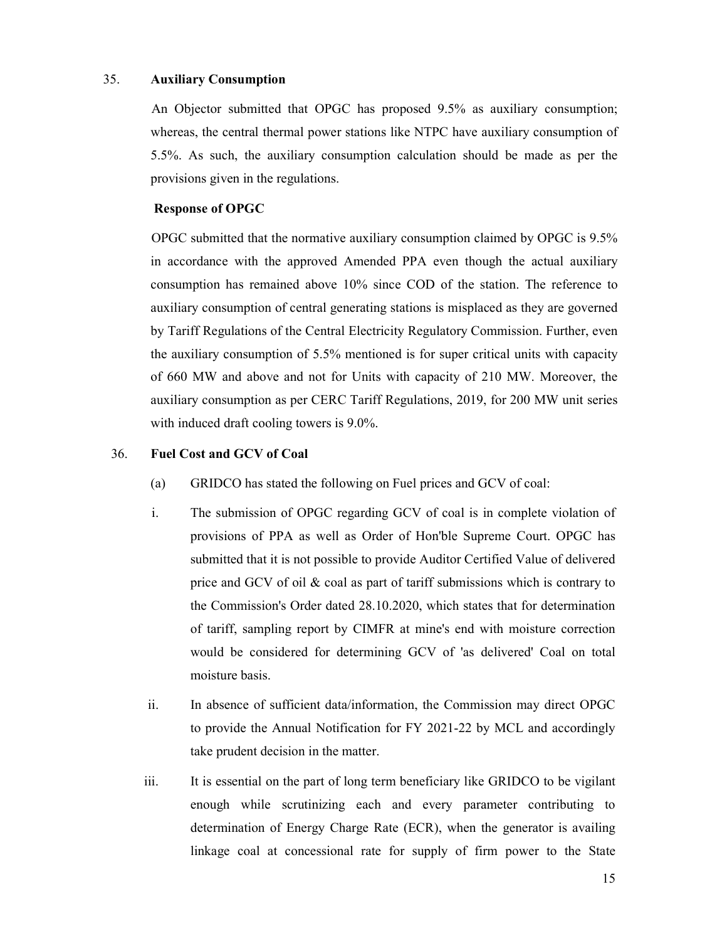## 35. Auxiliary Consumption

An Objector submitted that OPGC has proposed 9.5% as auxiliary consumption; whereas, the central thermal power stations like NTPC have auxiliary consumption of 5.5%. As such, the auxiliary consumption calculation should be made as per the provisions given in the regulations.

# Response of OPGC

OPGC submitted that the normative auxiliary consumption claimed by OPGC is 9.5% in accordance with the approved Amended PPA even though the actual auxiliary consumption has remained above 10% since COD of the station. The reference to auxiliary consumption of central generating stations is misplaced as they are governed by Tariff Regulations of the Central Electricity Regulatory Commission. Further, even the auxiliary consumption of 5.5% mentioned is for super critical units with capacity of 660 MW and above and not for Units with capacity of 210 MW. Moreover, the auxiliary consumption as per CERC Tariff Regulations, 2019, for 200 MW unit series with induced draft cooling towers is 9.0%.

# 36. Fuel Cost and GCV of Coal

- (a) GRIDCO has stated the following on Fuel prices and GCV of coal:
- i. The submission of OPGC regarding GCV of coal is in complete violation of provisions of PPA as well as Order of Hon'ble Supreme Court. OPGC has submitted that it is not possible to provide Auditor Certified Value of delivered price and GCV of oil & coal as part of tariff submissions which is contrary to the Commission's Order dated 28.10.2020, which states that for determination of tariff, sampling report by CIMFR at mine's end with moisture correction would be considered for determining GCV of 'as delivered' Coal on total moisture basis.
- ii. In absence of sufficient data/information, the Commission may direct OPGC to provide the Annual Notification for FY 2021-22 by MCL and accordingly take prudent decision in the matter.
- iii. It is essential on the part of long term beneficiary like GRIDCO to be vigilant enough while scrutinizing each and every parameter contributing to determination of Energy Charge Rate (ECR), when the generator is availing linkage coal at concessional rate for supply of firm power to the State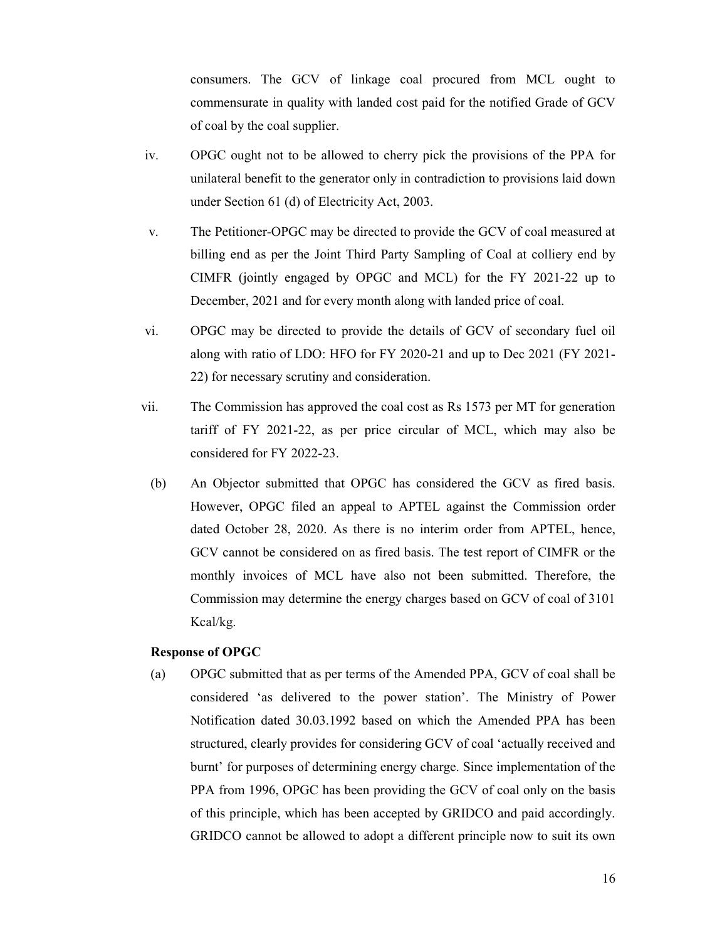consumers. The GCV of linkage coal procured from MCL ought to commensurate in quality with landed cost paid for the notified Grade of GCV of coal by the coal supplier.

- iv. OPGC ought not to be allowed to cherry pick the provisions of the PPA for unilateral benefit to the generator only in contradiction to provisions laid down under Section 61 (d) of Electricity Act, 2003.
- v. The Petitioner-OPGC may be directed to provide the GCV of coal measured at billing end as per the Joint Third Party Sampling of Coal at colliery end by CIMFR (jointly engaged by OPGC and MCL) for the FY 2021-22 up to December, 2021 and for every month along with landed price of coal.
- vi. OPGC may be directed to provide the details of GCV of secondary fuel oil along with ratio of LDO: HFO for FY 2020-21 and up to Dec 2021 (FY 2021- 22) for necessary scrutiny and consideration.
- vii. The Commission has approved the coal cost as Rs 1573 per MT for generation tariff of FY 2021-22, as per price circular of MCL, which may also be considered for FY 2022-23.
	- (b) An Objector submitted that OPGC has considered the GCV as fired basis. However, OPGC filed an appeal to APTEL against the Commission order dated October 28, 2020. As there is no interim order from APTEL, hence, GCV cannot be considered on as fired basis. The test report of CIMFR or the monthly invoices of MCL have also not been submitted. Therefore, the Commission may determine the energy charges based on GCV of coal of 3101 Kcal/kg.

#### Response of OPGC

(a) OPGC submitted that as per terms of the Amended PPA, GCV of coal shall be considered 'as delivered to the power station'. The Ministry of Power Notification dated 30.03.1992 based on which the Amended PPA has been structured, clearly provides for considering GCV of coal 'actually received and burnt' for purposes of determining energy charge. Since implementation of the PPA from 1996, OPGC has been providing the GCV of coal only on the basis of this principle, which has been accepted by GRIDCO and paid accordingly. GRIDCO cannot be allowed to adopt a different principle now to suit its own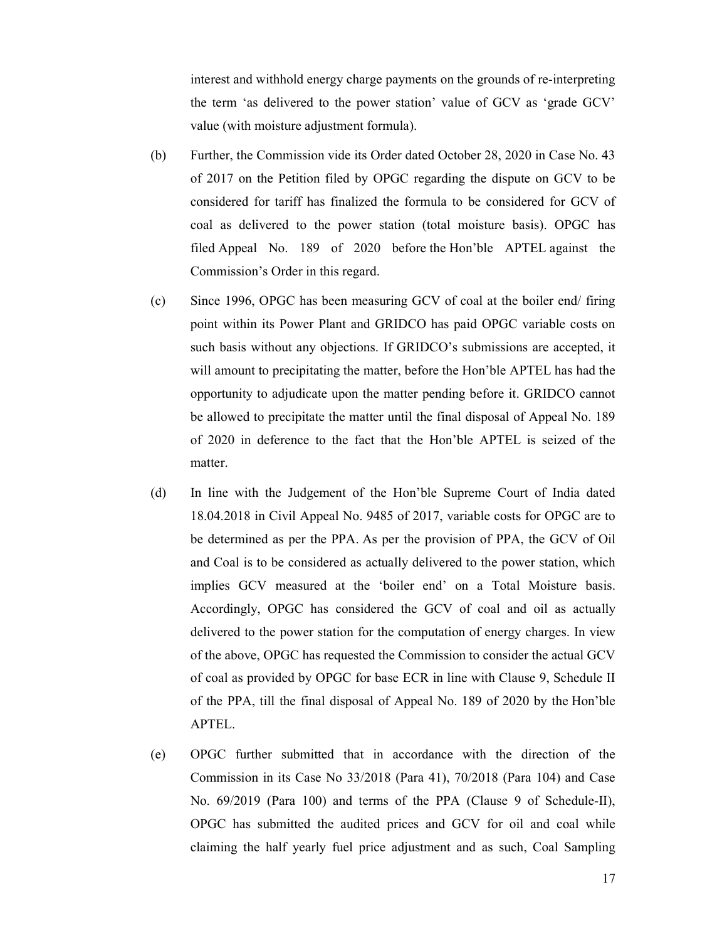interest and withhold energy charge payments on the grounds of re-interpreting the term 'as delivered to the power station' value of GCV as 'grade GCV' value (with moisture adjustment formula).

- (b) Further, the Commission vide its Order dated October 28, 2020 in Case No. 43 of 2017 on the Petition filed by OPGC regarding the dispute on GCV to be considered for tariff has finalized the formula to be considered for GCV of coal as delivered to the power station (total moisture basis). OPGC has filed Appeal No. 189 of 2020 before the Hon'ble APTEL against the Commission's Order in this regard.
- (c) Since 1996, OPGC has been measuring GCV of coal at the boiler end/ firing point within its Power Plant and GRIDCO has paid OPGC variable costs on such basis without any objections. If GRIDCO's submissions are accepted, it will amount to precipitating the matter, before the Hon'ble APTEL has had the opportunity to adjudicate upon the matter pending before it. GRIDCO cannot be allowed to precipitate the matter until the final disposal of Appeal No. 189 of 2020 in deference to the fact that the Hon'ble APTEL is seized of the matter.
- (d) In line with the Judgement of the Hon'ble Supreme Court of India dated 18.04.2018 in Civil Appeal No. 9485 of 2017, variable costs for OPGC are to be determined as per the PPA. As per the provision of PPA, the GCV of Oil and Coal is to be considered as actually delivered to the power station, which implies GCV measured at the 'boiler end' on a Total Moisture basis. Accordingly, OPGC has considered the GCV of coal and oil as actually delivered to the power station for the computation of energy charges. In view of the above, OPGC has requested the Commission to consider the actual GCV of coal as provided by OPGC for base ECR in line with Clause 9, Schedule II of the PPA, till the final disposal of Appeal No. 189 of 2020 by the Hon'ble APTEL.
- (e) OPGC further submitted that in accordance with the direction of the Commission in its Case No 33/2018 (Para 41), 70/2018 (Para 104) and Case No. 69/2019 (Para 100) and terms of the PPA (Clause 9 of Schedule-II), OPGC has submitted the audited prices and GCV for oil and coal while claiming the half yearly fuel price adjustment and as such, Coal Sampling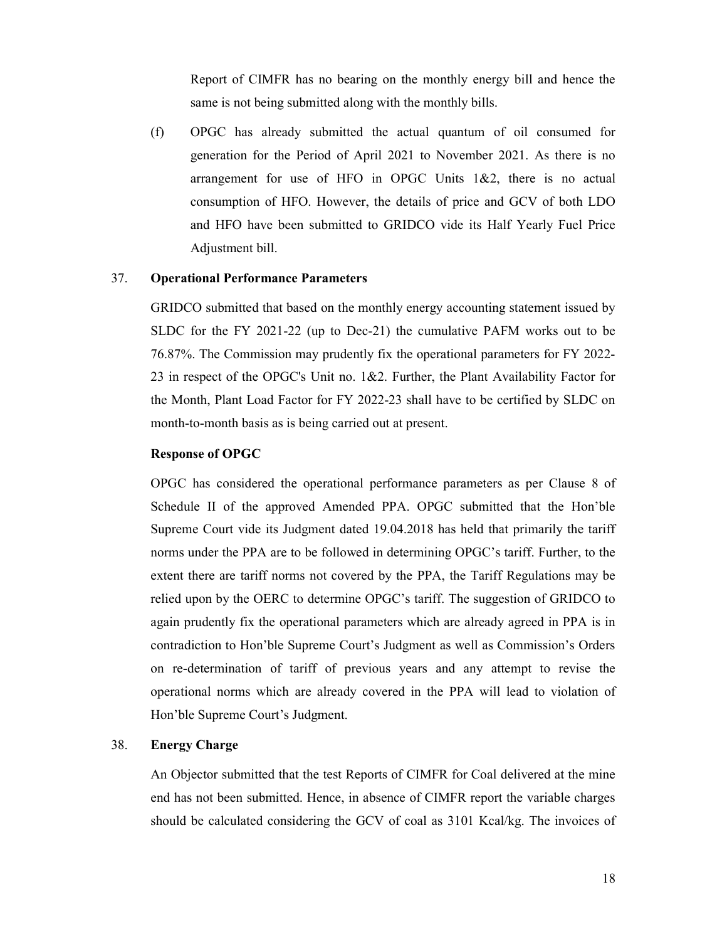Report of CIMFR has no bearing on the monthly energy bill and hence the same is not being submitted along with the monthly bills.

(f) OPGC has already submitted the actual quantum of oil consumed for generation for the Period of April 2021 to November 2021. As there is no arrangement for use of HFO in OPGC Units 1&2, there is no actual consumption of HFO. However, the details of price and GCV of both LDO and HFO have been submitted to GRIDCO vide its Half Yearly Fuel Price Adjustment bill.

#### 37. Operational Performance Parameters

GRIDCO submitted that based on the monthly energy accounting statement issued by SLDC for the FY 2021-22 (up to Dec-21) the cumulative PAFM works out to be 76.87%. The Commission may prudently fix the operational parameters for FY 2022- 23 in respect of the OPGC's Unit no. 1&2. Further, the Plant Availability Factor for the Month, Plant Load Factor for FY 2022-23 shall have to be certified by SLDC on month-to-month basis as is being carried out at present.

#### Response of OPGC

OPGC has considered the operational performance parameters as per Clause 8 of Schedule II of the approved Amended PPA. OPGC submitted that the Hon'ble Supreme Court vide its Judgment dated 19.04.2018 has held that primarily the tariff norms under the PPA are to be followed in determining OPGC's tariff. Further, to the extent there are tariff norms not covered by the PPA, the Tariff Regulations may be relied upon by the OERC to determine OPGC's tariff. The suggestion of GRIDCO to again prudently fix the operational parameters which are already agreed in PPA is in contradiction to Hon'ble Supreme Court's Judgment as well as Commission's Orders on re-determination of tariff of previous years and any attempt to revise the operational norms which are already covered in the PPA will lead to violation of Hon'ble Supreme Court's Judgment.

# 38. Energy Charge

An Objector submitted that the test Reports of CIMFR for Coal delivered at the mine end has not been submitted. Hence, in absence of CIMFR report the variable charges should be calculated considering the GCV of coal as 3101 Kcal/kg. The invoices of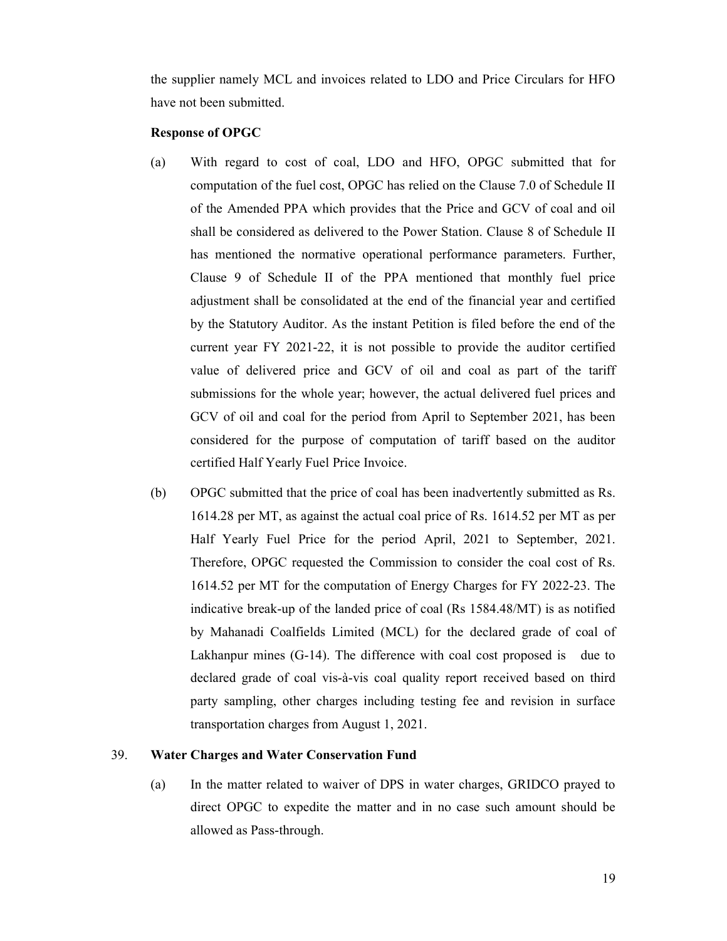the supplier namely MCL and invoices related to LDO and Price Circulars for HFO have not been submitted.

# Response of OPGC

- (a) With regard to cost of coal, LDO and HFO, OPGC submitted that for computation of the fuel cost, OPGC has relied on the Clause 7.0 of Schedule II of the Amended PPA which provides that the Price and GCV of coal and oil shall be considered as delivered to the Power Station. Clause 8 of Schedule II has mentioned the normative operational performance parameters. Further, Clause 9 of Schedule II of the PPA mentioned that monthly fuel price adjustment shall be consolidated at the end of the financial year and certified by the Statutory Auditor. As the instant Petition is filed before the end of the current year FY 2021-22, it is not possible to provide the auditor certified value of delivered price and GCV of oil and coal as part of the tariff submissions for the whole year; however, the actual delivered fuel prices and GCV of oil and coal for the period from April to September 2021, has been considered for the purpose of computation of tariff based on the auditor certified Half Yearly Fuel Price Invoice.
- (b) OPGC submitted that the price of coal has been inadvertently submitted as Rs. 1614.28 per MT, as against the actual coal price of Rs. 1614.52 per MT as per Half Yearly Fuel Price for the period April, 2021 to September, 2021. Therefore, OPGC requested the Commission to consider the coal cost of Rs. 1614.52 per MT for the computation of Energy Charges for FY 2022-23. The indicative break-up of the landed price of coal (Rs 1584.48/MT) is as notified by Mahanadi Coalfields Limited (MCL) for the declared grade of coal of Lakhanpur mines (G-14). The difference with coal cost proposed is due to declared grade of coal vis-à-vis coal quality report received based on third party sampling, other charges including testing fee and revision in surface transportation charges from August 1, 2021.

# 39. Water Charges and Water Conservation Fund

(a) In the matter related to waiver of DPS in water charges, GRIDCO prayed to direct OPGC to expedite the matter and in no case such amount should be allowed as Pass-through.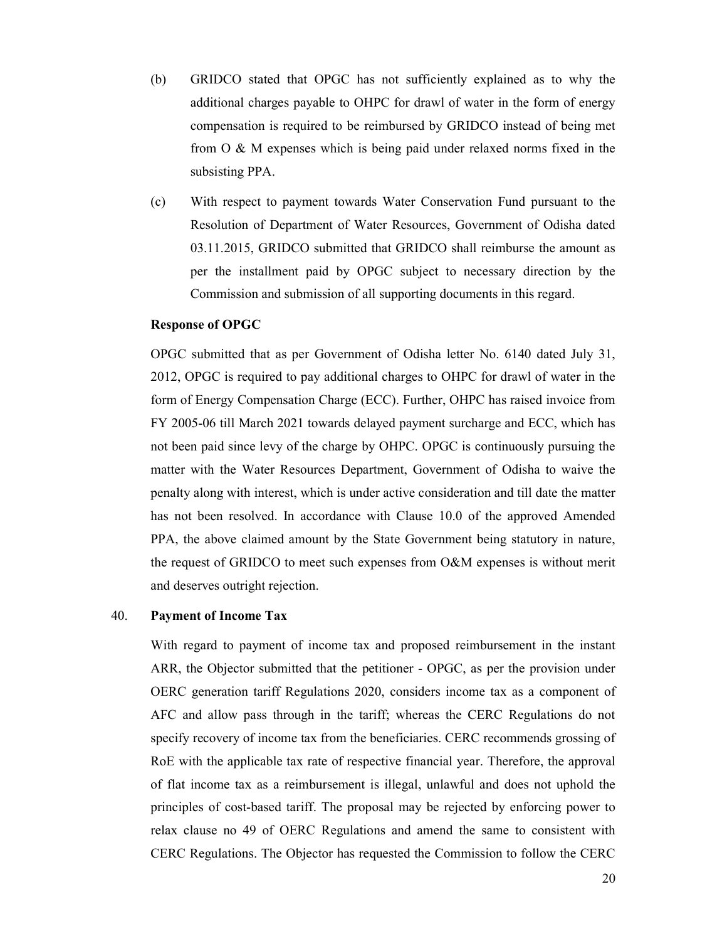- (b) GRIDCO stated that OPGC has not sufficiently explained as to why the additional charges payable to OHPC for drawl of water in the form of energy compensation is required to be reimbursed by GRIDCO instead of being met from O & M expenses which is being paid under relaxed norms fixed in the subsisting PPA.
- (c) With respect to payment towards Water Conservation Fund pursuant to the Resolution of Department of Water Resources, Government of Odisha dated 03.11.2015, GRIDCO submitted that GRIDCO shall reimburse the amount as per the installment paid by OPGC subject to necessary direction by the Commission and submission of all supporting documents in this regard.

#### Response of OPGC

OPGC submitted that as per Government of Odisha letter No. 6140 dated July 31, 2012, OPGC is required to pay additional charges to OHPC for drawl of water in the form of Energy Compensation Charge (ECC). Further, OHPC has raised invoice from FY 2005-06 till March 2021 towards delayed payment surcharge and ECC, which has not been paid since levy of the charge by OHPC. OPGC is continuously pursuing the matter with the Water Resources Department, Government of Odisha to waive the penalty along with interest, which is under active consideration and till date the matter has not been resolved. In accordance with Clause 10.0 of the approved Amended PPA, the above claimed amount by the State Government being statutory in nature, the request of GRIDCO to meet such expenses from O&M expenses is without merit and deserves outright rejection.

#### 40. Payment of Income Tax

With regard to payment of income tax and proposed reimbursement in the instant ARR, the Objector submitted that the petitioner - OPGC, as per the provision under OERC generation tariff Regulations 2020, considers income tax as a component of AFC and allow pass through in the tariff; whereas the CERC Regulations do not specify recovery of income tax from the beneficiaries. CERC recommends grossing of RoE with the applicable tax rate of respective financial year. Therefore, the approval of flat income tax as a reimbursement is illegal, unlawful and does not uphold the principles of cost-based tariff. The proposal may be rejected by enforcing power to relax clause no 49 of OERC Regulations and amend the same to consistent with CERC Regulations. The Objector has requested the Commission to follow the CERC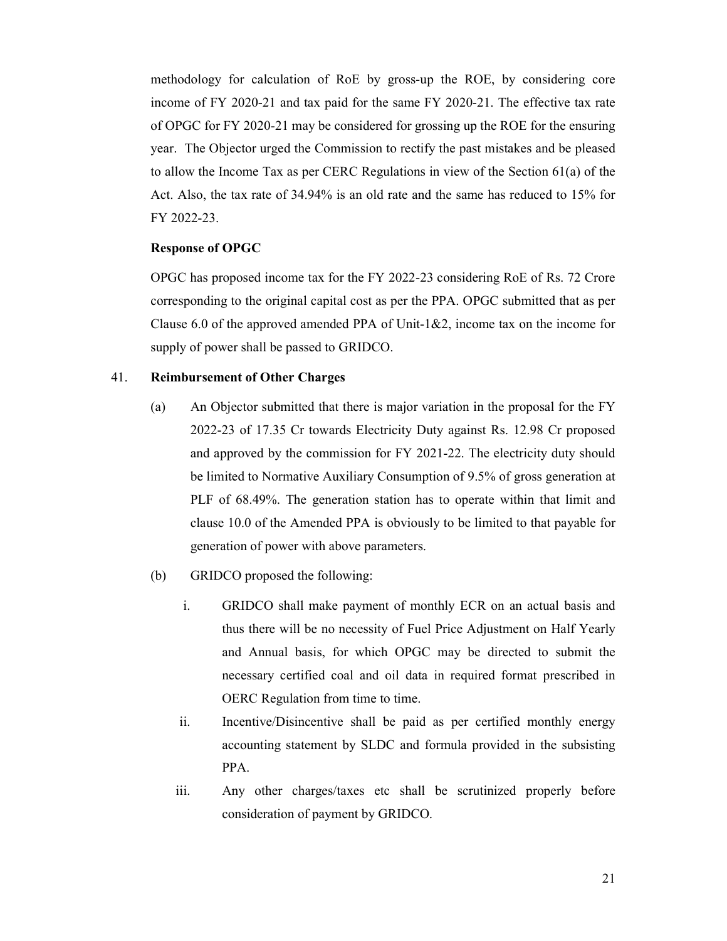methodology for calculation of RoE by gross-up the ROE, by considering core income of FY 2020-21 and tax paid for the same FY 2020-21. The effective tax rate of OPGC for FY 2020-21 may be considered for grossing up the ROE for the ensuring year. The Objector urged the Commission to rectify the past mistakes and be pleased to allow the Income Tax as per CERC Regulations in view of the Section 61(a) of the Act. Also, the tax rate of 34.94% is an old rate and the same has reduced to 15% for FY 2022-23.

### Response of OPGC

OPGC has proposed income tax for the FY 2022-23 considering RoE of Rs. 72 Crore corresponding to the original capital cost as per the PPA. OPGC submitted that as per Clause 6.0 of the approved amended PPA of Unit-1&2, income tax on the income for supply of power shall be passed to GRIDCO.

#### 41. Reimbursement of Other Charges

- (a) An Objector submitted that there is major variation in the proposal for the FY 2022-23 of 17.35 Cr towards Electricity Duty against Rs. 12.98 Cr proposed and approved by the commission for FY 2021-22. The electricity duty should be limited to Normative Auxiliary Consumption of 9.5% of gross generation at PLF of 68.49%. The generation station has to operate within that limit and clause 10.0 of the Amended PPA is obviously to be limited to that payable for generation of power with above parameters.
- (b) GRIDCO proposed the following:
	- i. GRIDCO shall make payment of monthly ECR on an actual basis and thus there will be no necessity of Fuel Price Adjustment on Half Yearly and Annual basis, for which OPGC may be directed to submit the necessary certified coal and oil data in required format prescribed in OERC Regulation from time to time.
	- ii. Incentive/Disincentive shall be paid as per certified monthly energy accounting statement by SLDC and formula provided in the subsisting PPA.
	- iii. Any other charges/taxes etc shall be scrutinized properly before consideration of payment by GRIDCO.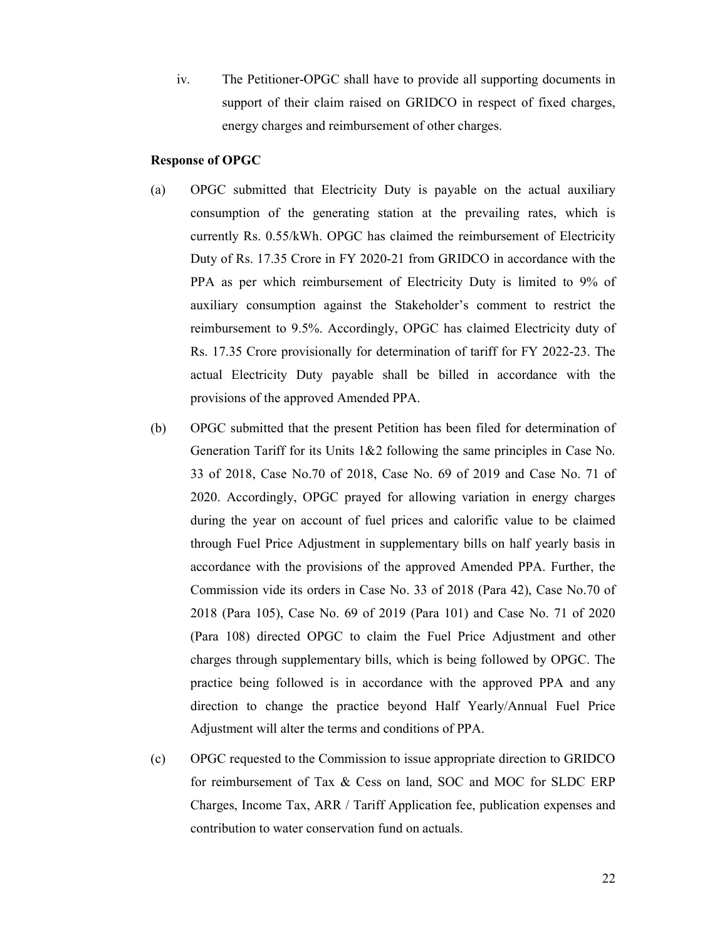iv. The Petitioner-OPGC shall have to provide all supporting documents in support of their claim raised on GRIDCO in respect of fixed charges, energy charges and reimbursement of other charges.

#### Response of OPGC

- (a) OPGC submitted that Electricity Duty is payable on the actual auxiliary consumption of the generating station at the prevailing rates, which is currently Rs. 0.55/kWh. OPGC has claimed the reimbursement of Electricity Duty of Rs. 17.35 Crore in FY 2020-21 from GRIDCO in accordance with the PPA as per which reimbursement of Electricity Duty is limited to 9% of auxiliary consumption against the Stakeholder's comment to restrict the reimbursement to 9.5%. Accordingly, OPGC has claimed Electricity duty of Rs. 17.35 Crore provisionally for determination of tariff for FY 2022-23. The actual Electricity Duty payable shall be billed in accordance with the provisions of the approved Amended PPA.
- (b) OPGC submitted that the present Petition has been filed for determination of Generation Tariff for its Units 1&2 following the same principles in Case No. 33 of 2018, Case No.70 of 2018, Case No. 69 of 2019 and Case No. 71 of 2020. Accordingly, OPGC prayed for allowing variation in energy charges during the year on account of fuel prices and calorific value to be claimed through Fuel Price Adjustment in supplementary bills on half yearly basis in accordance with the provisions of the approved Amended PPA. Further, the Commission vide its orders in Case No. 33 of 2018 (Para 42), Case No.70 of 2018 (Para 105), Case No. 69 of 2019 (Para 101) and Case No. 71 of 2020 (Para 108) directed OPGC to claim the Fuel Price Adjustment and other charges through supplementary bills, which is being followed by OPGC. The practice being followed is in accordance with the approved PPA and any direction to change the practice beyond Half Yearly/Annual Fuel Price Adjustment will alter the terms and conditions of PPA.
- (c) OPGC requested to the Commission to issue appropriate direction to GRIDCO for reimbursement of Tax & Cess on land, SOC and MOC for SLDC ERP Charges, Income Tax, ARR / Tariff Application fee, publication expenses and contribution to water conservation fund on actuals.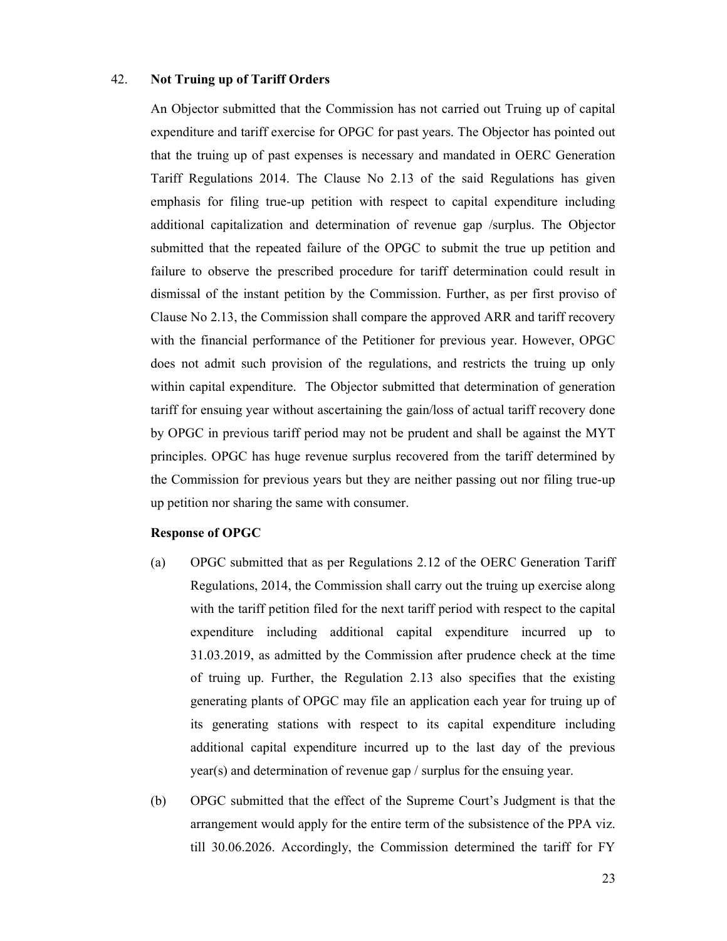# 42. Not Truing up of Tariff Orders

An Objector submitted that the Commission has not carried out Truing up of capital expenditure and tariff exercise for OPGC for past years. The Objector has pointed out that the truing up of past expenses is necessary and mandated in OERC Generation Tariff Regulations 2014. The Clause No 2.13 of the said Regulations has given emphasis for filing true-up petition with respect to capital expenditure including additional capitalization and determination of revenue gap /surplus. The Objector submitted that the repeated failure of the OPGC to submit the true up petition and failure to observe the prescribed procedure for tariff determination could result in dismissal of the instant petition by the Commission. Further, as per first proviso of Clause No 2.13, the Commission shall compare the approved ARR and tariff recovery with the financial performance of the Petitioner for previous year. However, OPGC does not admit such provision of the regulations, and restricts the truing up only within capital expenditure. The Objector submitted that determination of generation tariff for ensuing year without ascertaining the gain/loss of actual tariff recovery done by OPGC in previous tariff period may not be prudent and shall be against the MYT principles. OPGC has huge revenue surplus recovered from the tariff determined by the Commission for previous years but they are neither passing out nor filing true-up up petition nor sharing the same with consumer.

#### Response of OPGC

- (a) OPGC submitted that as per Regulations 2.12 of the OERC Generation Tariff Regulations, 2014, the Commission shall carry out the truing up exercise along with the tariff petition filed for the next tariff period with respect to the capital expenditure including additional capital expenditure incurred up to 31.03.2019, as admitted by the Commission after prudence check at the time of truing up. Further, the Regulation 2.13 also specifies that the existing generating plants of OPGC may file an application each year for truing up of its generating stations with respect to its capital expenditure including additional capital expenditure incurred up to the last day of the previous year(s) and determination of revenue gap / surplus for the ensuing year.
- (b) OPGC submitted that the effect of the Supreme Court's Judgment is that the arrangement would apply for the entire term of the subsistence of the PPA viz. till 30.06.2026. Accordingly, the Commission determined the tariff for FY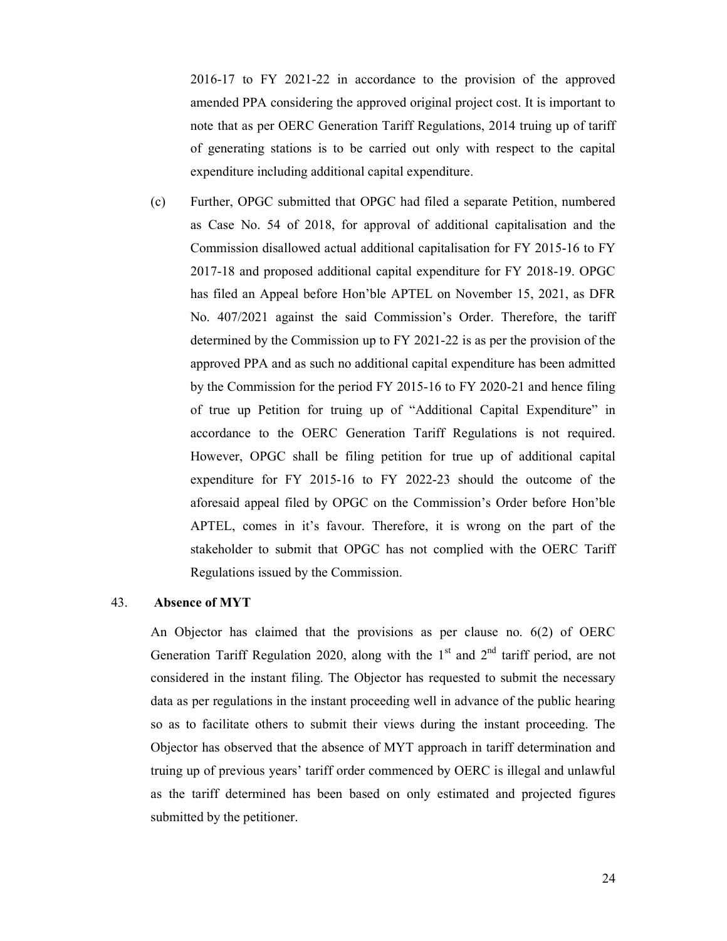2016-17 to FY 2021-22 in accordance to the provision of the approved amended PPA considering the approved original project cost. It is important to note that as per OERC Generation Tariff Regulations, 2014 truing up of tariff of generating stations is to be carried out only with respect to the capital expenditure including additional capital expenditure.

(c) Further, OPGC submitted that OPGC had filed a separate Petition, numbered as Case No. 54 of 2018, for approval of additional capitalisation and the Commission disallowed actual additional capitalisation for FY 2015-16 to FY 2017-18 and proposed additional capital expenditure for FY 2018-19. OPGC has filed an Appeal before Hon'ble APTEL on November 15, 2021, as DFR No. 407/2021 against the said Commission's Order. Therefore, the tariff determined by the Commission up to FY 2021-22 is as per the provision of the approved PPA and as such no additional capital expenditure has been admitted by the Commission for the period FY 2015-16 to FY 2020-21 and hence filing of true up Petition for truing up of "Additional Capital Expenditure" in accordance to the OERC Generation Tariff Regulations is not required. However, OPGC shall be filing petition for true up of additional capital expenditure for FY 2015-16 to FY 2022-23 should the outcome of the aforesaid appeal filed by OPGC on the Commission's Order before Hon'ble APTEL, comes in it's favour. Therefore, it is wrong on the part of the stakeholder to submit that OPGC has not complied with the OERC Tariff Regulations issued by the Commission.

# 43. Absence of MYT

An Objector has claimed that the provisions as per clause no. 6(2) of OERC Generation Tariff Regulation 2020, along with the  $1<sup>st</sup>$  and  $2<sup>nd</sup>$  tariff period, are not considered in the instant filing. The Objector has requested to submit the necessary data as per regulations in the instant proceeding well in advance of the public hearing so as to facilitate others to submit their views during the instant proceeding. The Objector has observed that the absence of MYT approach in tariff determination and truing up of previous years' tariff order commenced by OERC is illegal and unlawful as the tariff determined has been based on only estimated and projected figures submitted by the petitioner.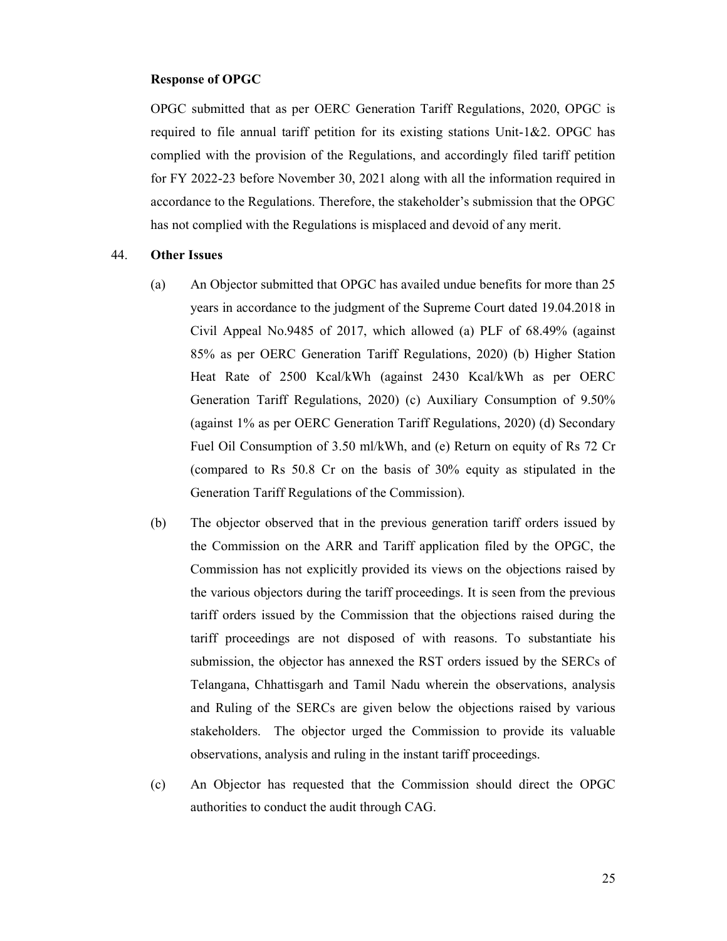# Response of OPGC

OPGC submitted that as per OERC Generation Tariff Regulations, 2020, OPGC is required to file annual tariff petition for its existing stations Unit-1&2. OPGC has complied with the provision of the Regulations, and accordingly filed tariff petition for FY 2022-23 before November 30, 2021 along with all the information required in accordance to the Regulations. Therefore, the stakeholder's submission that the OPGC has not complied with the Regulations is misplaced and devoid of any merit.

### 44. Other Issues

- (a) An Objector submitted that OPGC has availed undue benefits for more than 25 years in accordance to the judgment of the Supreme Court dated 19.04.2018 in Civil Appeal No.9485 of 2017, which allowed (a) PLF of 68.49% (against 85% as per OERC Generation Tariff Regulations, 2020) (b) Higher Station Heat Rate of 2500 Kcal/kWh (against 2430 Kcal/kWh as per OERC Generation Tariff Regulations, 2020) (c) Auxiliary Consumption of 9.50% (against 1% as per OERC Generation Tariff Regulations, 2020) (d) Secondary Fuel Oil Consumption of 3.50 ml/kWh, and (e) Return on equity of Rs 72 Cr (compared to Rs 50.8 Cr on the basis of 30% equity as stipulated in the Generation Tariff Regulations of the Commission).
- (b) The objector observed that in the previous generation tariff orders issued by the Commission on the ARR and Tariff application filed by the OPGC, the Commission has not explicitly provided its views on the objections raised by the various objectors during the tariff proceedings. It is seen from the previous tariff orders issued by the Commission that the objections raised during the tariff proceedings are not disposed of with reasons. To substantiate his submission, the objector has annexed the RST orders issued by the SERCs of Telangana, Chhattisgarh and Tamil Nadu wherein the observations, analysis and Ruling of the SERCs are given below the objections raised by various stakeholders. The objector urged the Commission to provide its valuable observations, analysis and ruling in the instant tariff proceedings.
- (c) An Objector has requested that the Commission should direct the OPGC authorities to conduct the audit through CAG.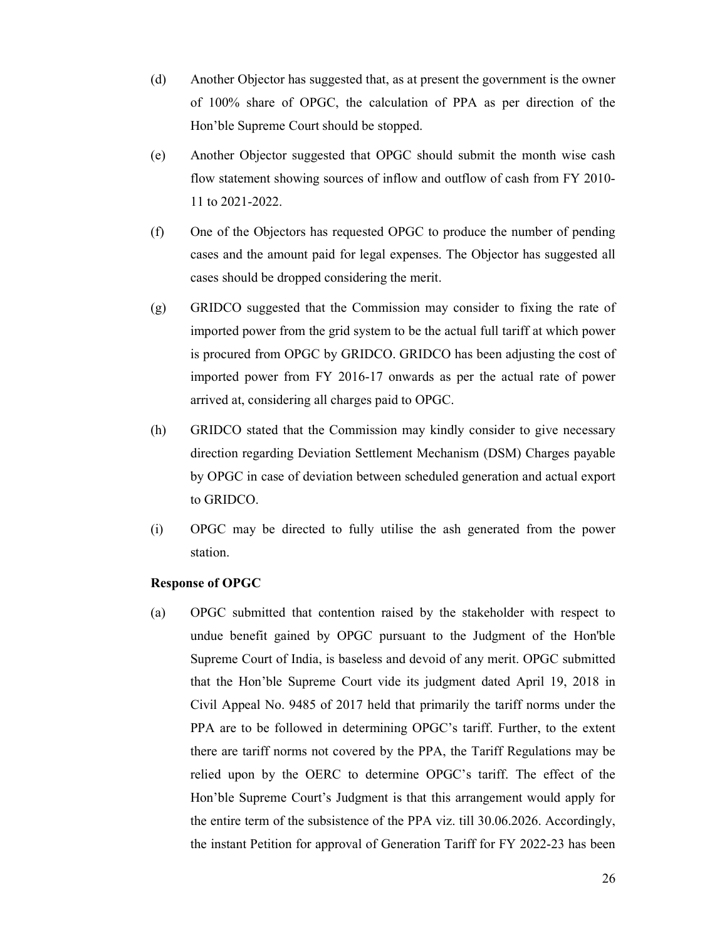- (d) Another Objector has suggested that, as at present the government is the owner of 100% share of OPGC, the calculation of PPA as per direction of the Hon'ble Supreme Court should be stopped.
- (e) Another Objector suggested that OPGC should submit the month wise cash flow statement showing sources of inflow and outflow of cash from FY 2010- 11 to 2021-2022.
- (f) One of the Objectors has requested OPGC to produce the number of pending cases and the amount paid for legal expenses. The Objector has suggested all cases should be dropped considering the merit.
- (g) GRIDCO suggested that the Commission may consider to fixing the rate of imported power from the grid system to be the actual full tariff at which power is procured from OPGC by GRIDCO. GRIDCO has been adjusting the cost of imported power from FY 2016-17 onwards as per the actual rate of power arrived at, considering all charges paid to OPGC.
- (h) GRIDCO stated that the Commission may kindly consider to give necessary direction regarding Deviation Settlement Mechanism (DSM) Charges payable by OPGC in case of deviation between scheduled generation and actual export to GRIDCO.
- (i) OPGC may be directed to fully utilise the ash generated from the power station.

#### Response of OPGC

(a) OPGC submitted that contention raised by the stakeholder with respect to undue benefit gained by OPGC pursuant to the Judgment of the Hon'ble Supreme Court of India, is baseless and devoid of any merit. OPGC submitted that the Hon'ble Supreme Court vide its judgment dated April 19, 2018 in Civil Appeal No. 9485 of 2017 held that primarily the tariff norms under the PPA are to be followed in determining OPGC's tariff. Further, to the extent there are tariff norms not covered by the PPA, the Tariff Regulations may be relied upon by the OERC to determine OPGC's tariff. The effect of the Hon'ble Supreme Court's Judgment is that this arrangement would apply for the entire term of the subsistence of the PPA viz. till 30.06.2026. Accordingly, the instant Petition for approval of Generation Tariff for FY 2022-23 has been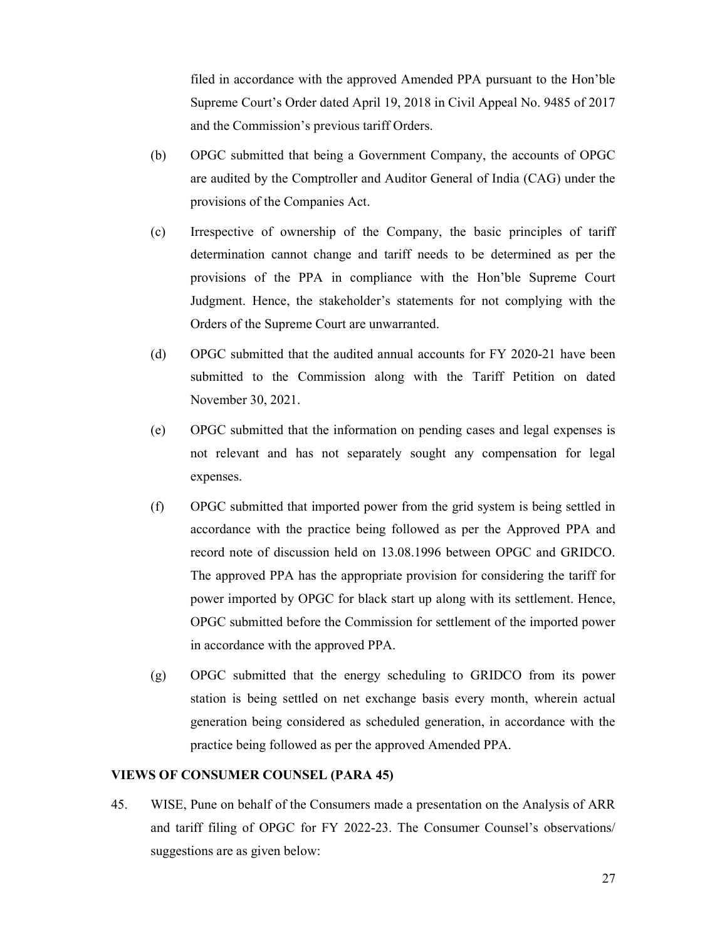filed in accordance with the approved Amended PPA pursuant to the Hon'ble Supreme Court's Order dated April 19, 2018 in Civil Appeal No. 9485 of 2017 and the Commission's previous tariff Orders.

- (b) OPGC submitted that being a Government Company, the accounts of OPGC are audited by the Comptroller and Auditor General of India (CAG) under the provisions of the Companies Act.
- (c) Irrespective of ownership of the Company, the basic principles of tariff determination cannot change and tariff needs to be determined as per the provisions of the PPA in compliance with the Hon'ble Supreme Court Judgment. Hence, the stakeholder's statements for not complying with the Orders of the Supreme Court are unwarranted.
- (d) OPGC submitted that the audited annual accounts for FY 2020-21 have been submitted to the Commission along with the Tariff Petition on dated November 30, 2021.
- (e) OPGC submitted that the information on pending cases and legal expenses is not relevant and has not separately sought any compensation for legal expenses.
- (f) OPGC submitted that imported power from the grid system is being settled in accordance with the practice being followed as per the Approved PPA and record note of discussion held on 13.08.1996 between OPGC and GRIDCO. The approved PPA has the appropriate provision for considering the tariff for power imported by OPGC for black start up along with its settlement. Hence, OPGC submitted before the Commission for settlement of the imported power in accordance with the approved PPA.
- (g) OPGC submitted that the energy scheduling to GRIDCO from its power station is being settled on net exchange basis every month, wherein actual generation being considered as scheduled generation, in accordance with the practice being followed as per the approved Amended PPA.

# VIEWS OF CONSUMER COUNSEL (PARA 45)

45. WISE, Pune on behalf of the Consumers made a presentation on the Analysis of ARR and tariff filing of OPGC for FY 2022-23. The Consumer Counsel's observations/ suggestions are as given below: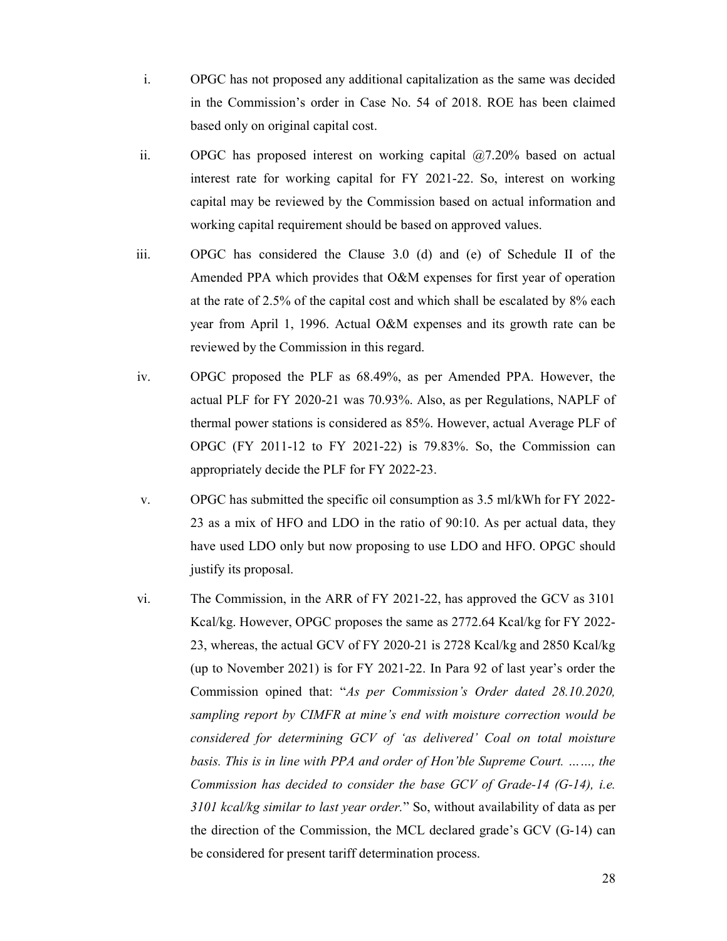- i. OPGC has not proposed any additional capitalization as the same was decided in the Commission's order in Case No. 54 of 2018. ROE has been claimed based only on original capital cost.
- ii. OPGC has proposed interest on working capital @7.20% based on actual interest rate for working capital for FY 2021-22. So, interest on working capital may be reviewed by the Commission based on actual information and working capital requirement should be based on approved values.
- iii. OPGC has considered the Clause 3.0 (d) and (e) of Schedule II of the Amended PPA which provides that O&M expenses for first year of operation at the rate of 2.5% of the capital cost and which shall be escalated by 8% each year from April 1, 1996. Actual O&M expenses and its growth rate can be reviewed by the Commission in this regard.
- iv. OPGC proposed the PLF as 68.49%, as per Amended PPA. However, the actual PLF for FY 2020-21 was 70.93%. Also, as per Regulations, NAPLF of thermal power stations is considered as 85%. However, actual Average PLF of OPGC (FY 2011-12 to FY 2021-22) is 79.83%. So, the Commission can appropriately decide the PLF for FY 2022-23.
- v. OPGC has submitted the specific oil consumption as 3.5 ml/kWh for FY 2022- 23 as a mix of HFO and LDO in the ratio of 90:10. As per actual data, they have used LDO only but now proposing to use LDO and HFO. OPGC should justify its proposal.
- vi. The Commission, in the ARR of FY 2021-22, has approved the GCV as 3101 Kcal/kg. However, OPGC proposes the same as 2772.64 Kcal/kg for FY 2022- 23, whereas, the actual GCV of FY 2020-21 is 2728 Kcal/kg and 2850 Kcal/kg (up to November 2021) is for FY 2021-22. In Para 92 of last year's order the Commission opined that: "As per Commission's Order dated 28.10.2020, sampling report by CIMFR at mine's end with moisture correction would be considered for determining GCV of 'as delivered' Coal on total moisture basis. This is in line with PPA and order of Hon'ble Supreme Court. ……, the Commission has decided to consider the base GCV of Grade-14 (G-14), i.e. 3101 kcal/kg similar to last year order." So, without availability of data as per the direction of the Commission, the MCL declared grade's GCV (G-14) can be considered for present tariff determination process.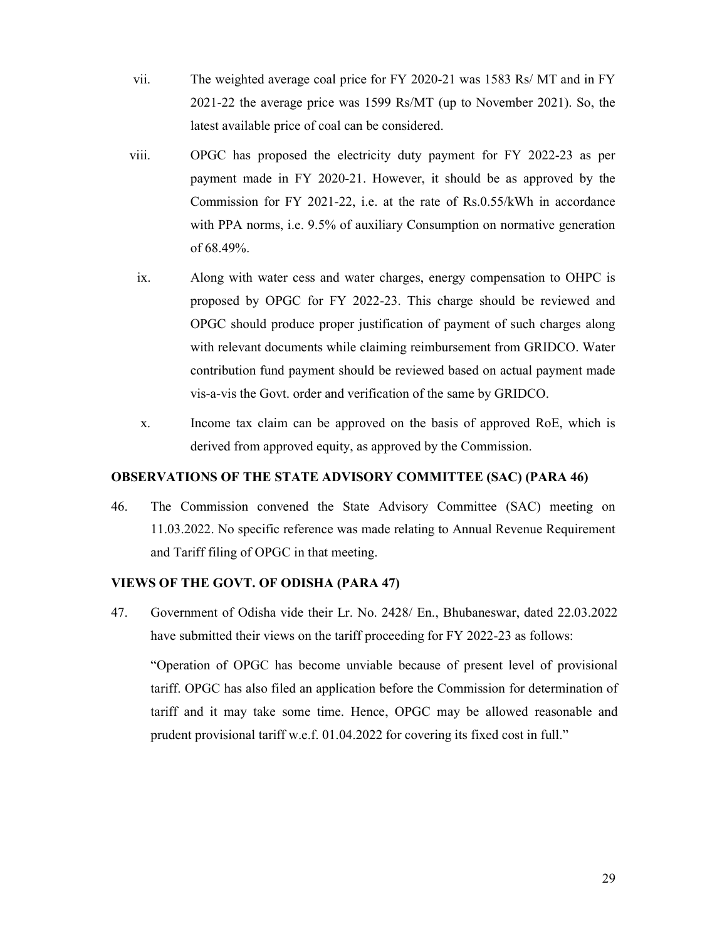- vii. The weighted average coal price for FY 2020-21 was 1583 Rs/ MT and in FY 2021-22 the average price was 1599 Rs/MT (up to November 2021). So, the latest available price of coal can be considered.
- viii. OPGC has proposed the electricity duty payment for FY 2022-23 as per payment made in FY 2020-21. However, it should be as approved by the Commission for FY 2021-22, i.e. at the rate of Rs.0.55/kWh in accordance with PPA norms, i.e. 9.5% of auxiliary Consumption on normative generation of 68.49%.
- ix. Along with water cess and water charges, energy compensation to OHPC is proposed by OPGC for FY 2022-23. This charge should be reviewed and OPGC should produce proper justification of payment of such charges along with relevant documents while claiming reimbursement from GRIDCO. Water contribution fund payment should be reviewed based on actual payment made vis-a-vis the Govt. order and verification of the same by GRIDCO.
- x. Income tax claim can be approved on the basis of approved RoE, which is derived from approved equity, as approved by the Commission.

# OBSERVATIONS OF THE STATE ADVISORY COMMITTEE (SAC) (PARA 46)

46. The Commission convened the State Advisory Committee (SAC) meeting on 11.03.2022. No specific reference was made relating to Annual Revenue Requirement and Tariff filing of OPGC in that meeting.

# VIEWS OF THE GOVT. OF ODISHA (PARA 47)

47. Government of Odisha vide their Lr. No. 2428/ En., Bhubaneswar, dated 22.03.2022 have submitted their views on the tariff proceeding for FY 2022-23 as follows:

"Operation of OPGC has become unviable because of present level of provisional tariff. OPGC has also filed an application before the Commission for determination of tariff and it may take some time. Hence, OPGC may be allowed reasonable and prudent provisional tariff w.e.f. 01.04.2022 for covering its fixed cost in full."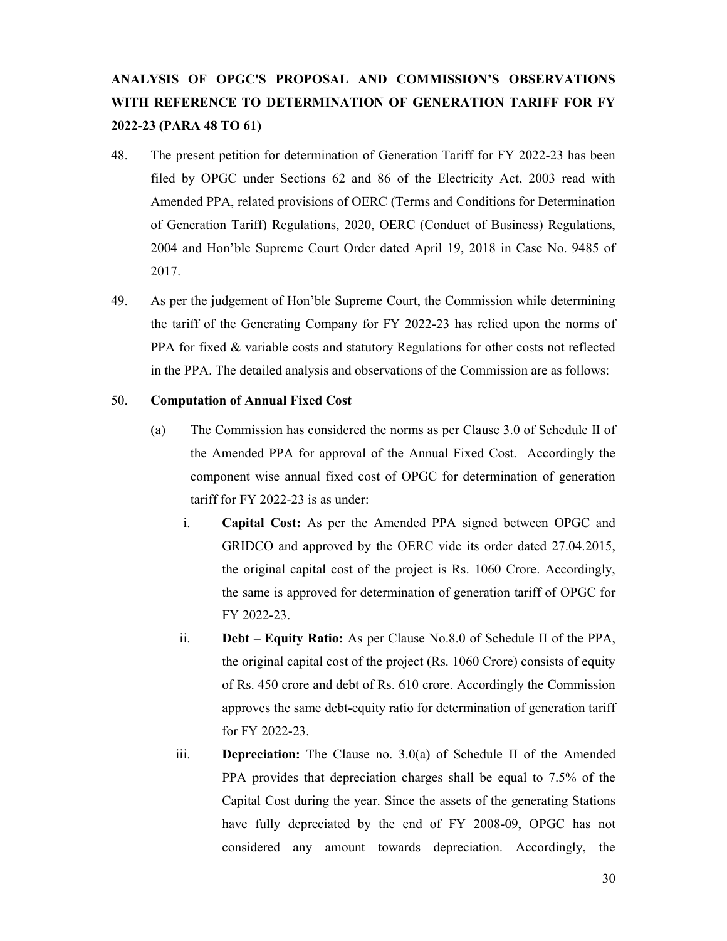# ANALYSIS OF OPGC'S PROPOSAL AND COMMISSION'S OBSERVATIONS WITH REFERENCE TO DETERMINATION OF GENERATION TARIFF FOR FY 2022-23 (PARA 48 TO 61)

- 48. The present petition for determination of Generation Tariff for FY 2022-23 has been filed by OPGC under Sections 62 and 86 of the Electricity Act, 2003 read with Amended PPA, related provisions of OERC (Terms and Conditions for Determination of Generation Tariff) Regulations, 2020, OERC (Conduct of Business) Regulations, 2004 and Hon'ble Supreme Court Order dated April 19, 2018 in Case No. 9485 of 2017.
- 49. As per the judgement of Hon'ble Supreme Court, the Commission while determining the tariff of the Generating Company for FY 2022-23 has relied upon the norms of PPA for fixed & variable costs and statutory Regulations for other costs not reflected in the PPA. The detailed analysis and observations of the Commission are as follows:

# 50. Computation of Annual Fixed Cost

- (a) The Commission has considered the norms as per Clause 3.0 of Schedule II of the Amended PPA for approval of the Annual Fixed Cost. Accordingly the component wise annual fixed cost of OPGC for determination of generation tariff for FY 2022-23 is as under:
	- i. Capital Cost: As per the Amended PPA signed between OPGC and GRIDCO and approved by the OERC vide its order dated 27.04.2015, the original capital cost of the project is Rs. 1060 Crore. Accordingly, the same is approved for determination of generation tariff of OPGC for FY 2022-23.
	- ii. Debt Equity Ratio: As per Clause No.8.0 of Schedule II of the PPA, the original capital cost of the project (Rs. 1060 Crore) consists of equity of Rs. 450 crore and debt of Rs. 610 crore. Accordingly the Commission approves the same debt-equity ratio for determination of generation tariff for FY 2022-23.
	- iii. Depreciation: The Clause no. 3.0(a) of Schedule II of the Amended PPA provides that depreciation charges shall be equal to 7.5% of the Capital Cost during the year. Since the assets of the generating Stations have fully depreciated by the end of FY 2008-09, OPGC has not considered any amount towards depreciation. Accordingly, the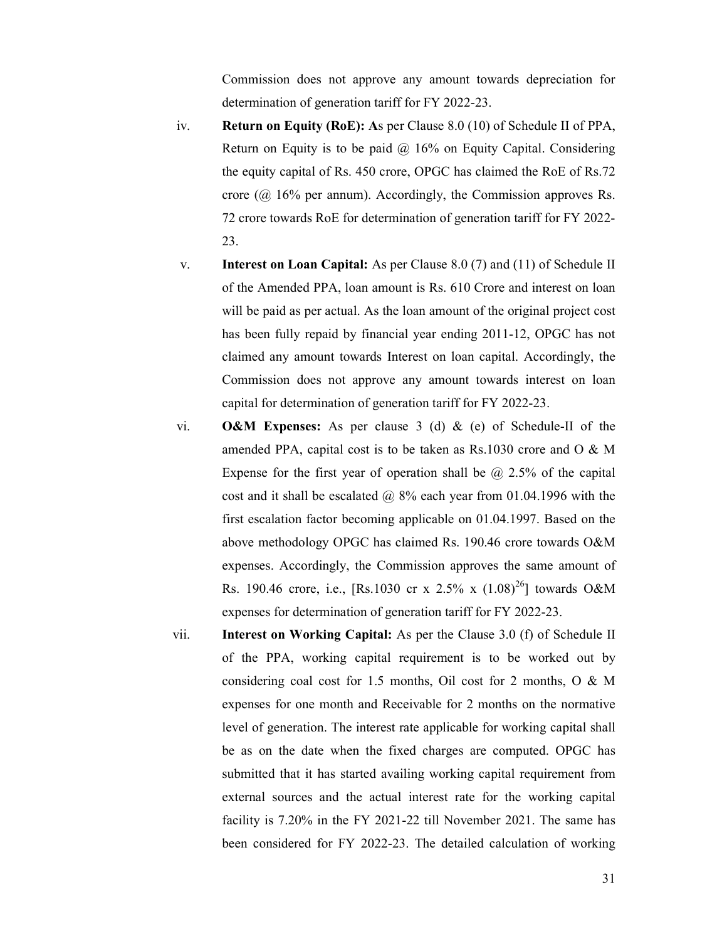Commission does not approve any amount towards depreciation for determination of generation tariff for FY 2022-23.

- iv. Return on Equity (RoE): As per Clause 8.0 (10) of Schedule II of PPA, Return on Equity is to be paid  $\omega$  16% on Equity Capital. Considering the equity capital of Rs. 450 crore, OPGC has claimed the RoE of Rs.72 crore (@ 16% per annum). Accordingly, the Commission approves Rs. 72 crore towards RoE for determination of generation tariff for FY 2022- 23.
- v. Interest on Loan Capital: As per Clause 8.0 (7) and (11) of Schedule II of the Amended PPA, loan amount is Rs. 610 Crore and interest on loan will be paid as per actual. As the loan amount of the original project cost has been fully repaid by financial year ending 2011-12, OPGC has not claimed any amount towards Interest on loan capital. Accordingly, the Commission does not approve any amount towards interest on loan capital for determination of generation tariff for FY 2022-23.
- vi. **O&M** Expenses: As per clause 3 (d) & (e) of Schedule-II of the amended PPA, capital cost is to be taken as Rs.1030 crore and O & M Expense for the first year of operation shall be  $\omega$  2.5% of the capital cost and it shall be escalated  $\omega$  8% each year from 01.04.1996 with the first escalation factor becoming applicable on 01.04.1997. Based on the above methodology OPGC has claimed Rs. 190.46 crore towards O&M expenses. Accordingly, the Commission approves the same amount of Rs. 190.46 crore, i.e., [Rs.1030 cr x 2.5% x  $(1.08)^{26}$ ] towards O&M expenses for determination of generation tariff for FY 2022-23.
- vii. Interest on Working Capital: As per the Clause 3.0 (f) of Schedule II of the PPA, working capital requirement is to be worked out by considering coal cost for 1.5 months, Oil cost for 2 months, O & M expenses for one month and Receivable for 2 months on the normative level of generation. The interest rate applicable for working capital shall be as on the date when the fixed charges are computed. OPGC has submitted that it has started availing working capital requirement from external sources and the actual interest rate for the working capital facility is 7.20% in the FY 2021-22 till November 2021. The same has been considered for FY 2022-23. The detailed calculation of working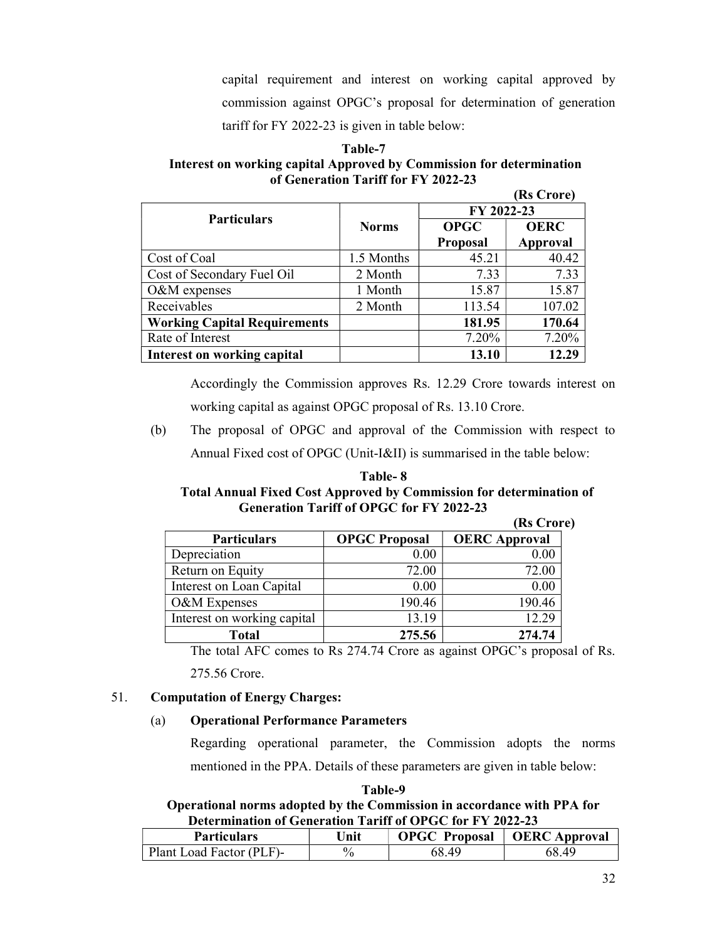capital requirement and interest on working capital approved by commission against OPGC's proposal for determination of generation tariff for FY 2022-23 is given in table below:

# Table-7 Interest on working capital Approved by Commission for determination of Generation Tariff for FY 2022-23

|                                     |              |                 | (Rs Crore)  |
|-------------------------------------|--------------|-----------------|-------------|
|                                     |              | FY 2022-23      |             |
| <b>Particulars</b>                  | <b>Norms</b> | <b>OPGC</b>     | <b>OERC</b> |
|                                     |              | <b>Proposal</b> | Approval    |
| Cost of Coal                        | 1.5 Months   | 45.21           | 40.42       |
| Cost of Secondary Fuel Oil          | 2 Month      | 7.33            | 7.33        |
| O&M expenses                        | 1 Month      | 15.87           | 15.87       |
| Receivables                         | 2 Month      | 113.54          | 107.02      |
| <b>Working Capital Requirements</b> |              | 181.95          | 170.64      |
| Rate of Interest                    |              | 7.20%           | 7.20%       |
| Interest on working capital         |              | 13.10           | 12.29       |

Accordingly the Commission approves Rs. 12.29 Crore towards interest on working capital as against OPGC proposal of Rs. 13.10 Crore.

(b) The proposal of OPGC and approval of the Commission with respect to Annual Fixed cost of OPGC (Unit-I&II) is summarised in the table below:

| Table- 8                                                                   |
|----------------------------------------------------------------------------|
| <b>Total Annual Fixed Cost Approved by Commission for determination of</b> |
| <b>Generation Tariff of OPGC for FY 2022-23</b>                            |

|                             |                      | (Rs Crore)           |
|-----------------------------|----------------------|----------------------|
| <b>Particulars</b>          | <b>OPGC Proposal</b> | <b>OERC</b> Approval |
| Depreciation                | 0.00                 | 0.00                 |
| Return on Equity            | 72.00                | 72.00                |
| Interest on Loan Capital    | 0.00                 | 0.00                 |
| O&M Expenses                | 190.46               | 190.46               |
| Interest on working capital | 13.19                | 12.29                |
| <b>Total</b>                | 275.56               | 274.74               |

The total AFC comes to Rs 274.74 Crore as against OPGC's proposal of Rs.

275.56 Crore.

# 51. Computation of Energy Charges:

# (a) Operational Performance Parameters

Regarding operational parameter, the Commission adopts the norms mentioned in the PPA. Details of these parameters are given in table below:

#### Table-9

# Operational norms adopted by the Commission in accordance with PPA for Determination of Generation Tariff of OPGC for FY 2022-23

| <b>Particulars</b>       | Jnit          | <b>OPGC Proposal</b> | <b>OERC</b> Approval |
|--------------------------|---------------|----------------------|----------------------|
| Plant Load Factor (PLF)- | $\frac{0}{0}$ | 68.49                | $\Delta Q$<br>-68.   |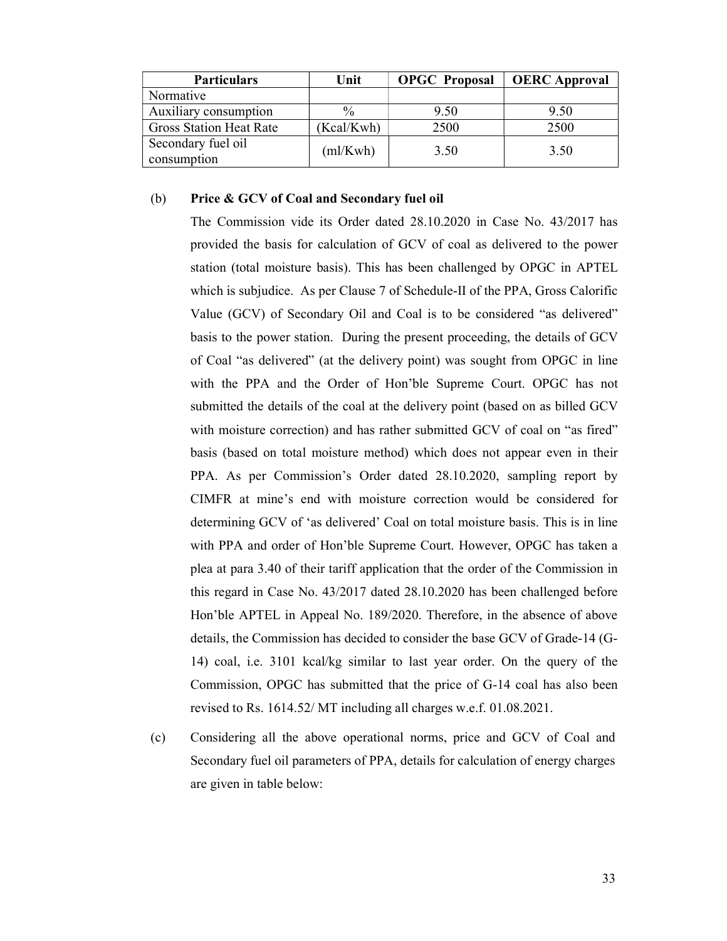| <b>Particulars</b>                | Unit       | <b>OPGC</b> Proposal | <b>OERC</b> Approval |
|-----------------------------------|------------|----------------------|----------------------|
| Normative                         |            |                      |                      |
| Auxiliary consumption             | $\%$       | 9.50                 | 9.50                 |
| <b>Gross Station Heat Rate</b>    | (Kcal/Kwh) | 2500                 | 2500                 |
| Secondary fuel oil<br>consumption | (ml/Kwh)   | 3.50                 | 3.50                 |

#### (b) Price & GCV of Coal and Secondary fuel oil

The Commission vide its Order dated 28.10.2020 in Case No. 43/2017 has provided the basis for calculation of GCV of coal as delivered to the power station (total moisture basis). This has been challenged by OPGC in APTEL which is subjudice. As per Clause 7 of Schedule-II of the PPA, Gross Calorific Value (GCV) of Secondary Oil and Coal is to be considered "as delivered" basis to the power station. During the present proceeding, the details of GCV of Coal "as delivered" (at the delivery point) was sought from OPGC in line with the PPA and the Order of Hon'ble Supreme Court. OPGC has not submitted the details of the coal at the delivery point (based on as billed GCV with moisture correction) and has rather submitted GCV of coal on "as fired" basis (based on total moisture method) which does not appear even in their PPA. As per Commission's Order dated 28.10.2020, sampling report by CIMFR at mine's end with moisture correction would be considered for determining GCV of 'as delivered' Coal on total moisture basis. This is in line with PPA and order of Hon'ble Supreme Court. However, OPGC has taken a plea at para 3.40 of their tariff application that the order of the Commission in this regard in Case No. 43/2017 dated 28.10.2020 has been challenged before Hon'ble APTEL in Appeal No. 189/2020. Therefore, in the absence of above details, the Commission has decided to consider the base GCV of Grade-14 (G-14) coal, i.e. 3101 kcal/kg similar to last year order. On the query of the Commission, OPGC has submitted that the price of G-14 coal has also been revised to Rs. 1614.52/ MT including all charges w.e.f. 01.08.2021.

(c) Considering all the above operational norms, price and GCV of Coal and Secondary fuel oil parameters of PPA, details for calculation of energy charges are given in table below: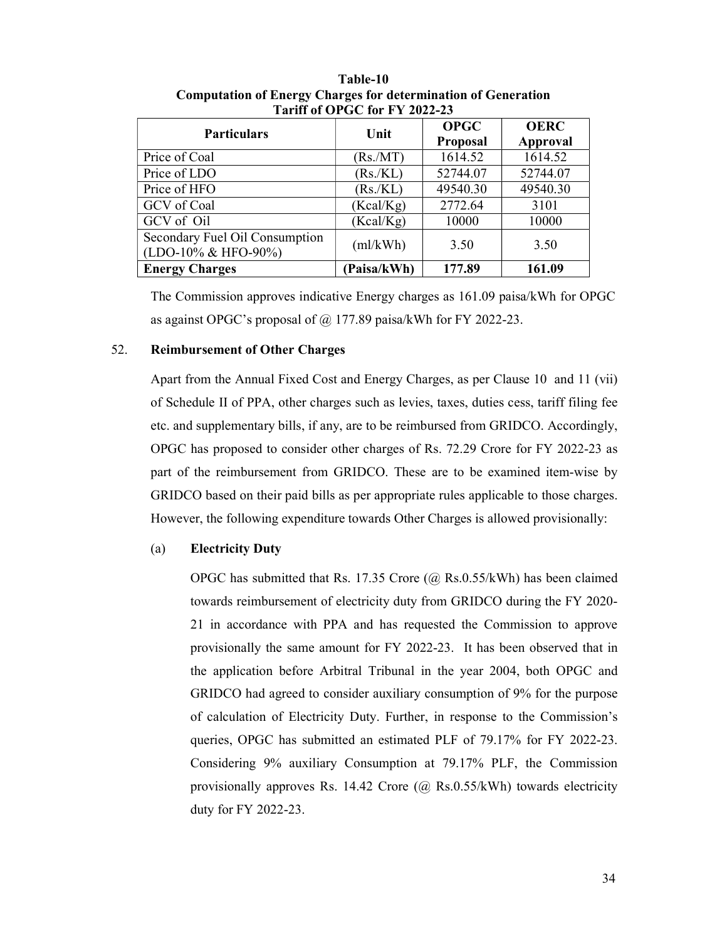| <b>Particulars</b>                                    | Unit       | <b>OPGC</b><br><b>Proposal</b> | <b>OERC</b><br><b>Approval</b> |  |
|-------------------------------------------------------|------------|--------------------------------|--------------------------------|--|
| Price of Coal                                         | (Rs/MT)    | 1614.52                        | 1614.52                        |  |
| Price of LDO                                          | (Rs/KL)    | 52744.07                       | 52744.07                       |  |
| Price of HFO                                          | (Rs/KL)    | 49540.30                       | 49540.30                       |  |
| GCV of Coal                                           | (Kcal/Kg)  | 2772.64                        | 3101                           |  |
| GCV of Oil                                            | (Kcal/Kg)  | 10000                          | 10000                          |  |
| Secondary Fuel Oil Consumption<br>(LDO-10% & HFO-90%) | (ml/kWh)   | 3.50                           | 3.50                           |  |
| <b>Energy Charges</b>                                 | Paisa/kWh) | 177.89                         | 161.09                         |  |

Table-10 Computation of Energy Charges for determination of Generation Tariff of OPGC for FY 2022-23

The Commission approves indicative Energy charges as 161.09 paisa/kWh for OPGC as against OPGC's proposal of @ 177.89 paisa/kWh for FY 2022-23.

# 52. Reimbursement of Other Charges

Apart from the Annual Fixed Cost and Energy Charges, as per Clause 10 and 11 (vii) of Schedule II of PPA, other charges such as levies, taxes, duties cess, tariff filing fee etc. and supplementary bills, if any, are to be reimbursed from GRIDCO. Accordingly, OPGC has proposed to consider other charges of Rs. 72.29 Crore for FY 2022-23 as part of the reimbursement from GRIDCO. These are to be examined item-wise by GRIDCO based on their paid bills as per appropriate rules applicable to those charges. However, the following expenditure towards Other Charges is allowed provisionally:

#### (a) Electricity Duty

OPGC has submitted that Rs. 17.35 Crore (@ Rs.0.55/kWh) has been claimed towards reimbursement of electricity duty from GRIDCO during the FY 2020- 21 in accordance with PPA and has requested the Commission to approve provisionally the same amount for FY 2022-23. It has been observed that in the application before Arbitral Tribunal in the year 2004, both OPGC and GRIDCO had agreed to consider auxiliary consumption of 9% for the purpose of calculation of Electricity Duty. Further, in response to the Commission's queries, OPGC has submitted an estimated PLF of 79.17% for FY 2022-23. Considering 9% auxiliary Consumption at 79.17% PLF, the Commission provisionally approves Rs. 14.42 Crore  $(Q \text{Rs.} 0.55/\text{kWh})$  towards electricity duty for FY 2022-23.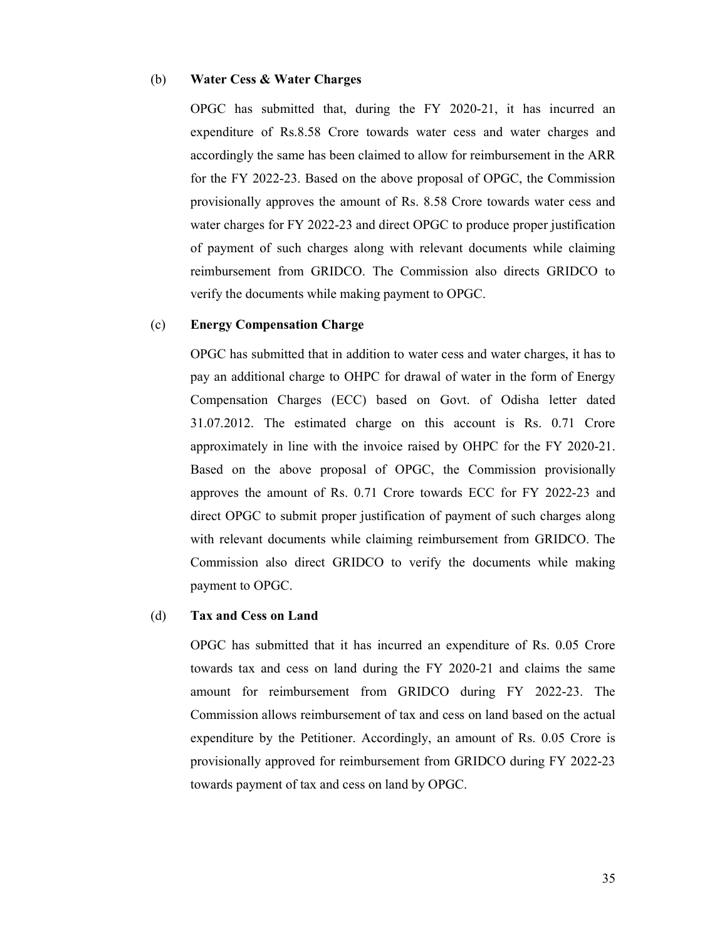#### (b) Water Cess & Water Charges

OPGC has submitted that, during the FY 2020-21, it has incurred an expenditure of Rs.8.58 Crore towards water cess and water charges and accordingly the same has been claimed to allow for reimbursement in the ARR for the FY 2022-23. Based on the above proposal of OPGC, the Commission provisionally approves the amount of Rs. 8.58 Crore towards water cess and water charges for FY 2022-23 and direct OPGC to produce proper justification of payment of such charges along with relevant documents while claiming reimbursement from GRIDCO. The Commission also directs GRIDCO to verify the documents while making payment to OPGC.

#### (c) Energy Compensation Charge

OPGC has submitted that in addition to water cess and water charges, it has to pay an additional charge to OHPC for drawal of water in the form of Energy Compensation Charges (ECC) based on Govt. of Odisha letter dated 31.07.2012. The estimated charge on this account is Rs. 0.71 Crore approximately in line with the invoice raised by OHPC for the FY 2020-21. Based on the above proposal of OPGC, the Commission provisionally approves the amount of Rs. 0.71 Crore towards ECC for FY 2022-23 and direct OPGC to submit proper justification of payment of such charges along with relevant documents while claiming reimbursement from GRIDCO. The Commission also direct GRIDCO to verify the documents while making payment to OPGC.

#### (d) Tax and Cess on Land

OPGC has submitted that it has incurred an expenditure of Rs. 0.05 Crore towards tax and cess on land during the FY 2020-21 and claims the same amount for reimbursement from GRIDCO during FY 2022-23. The Commission allows reimbursement of tax and cess on land based on the actual expenditure by the Petitioner. Accordingly, an amount of Rs. 0.05 Crore is provisionally approved for reimbursement from GRIDCO during FY 2022-23 towards payment of tax and cess on land by OPGC.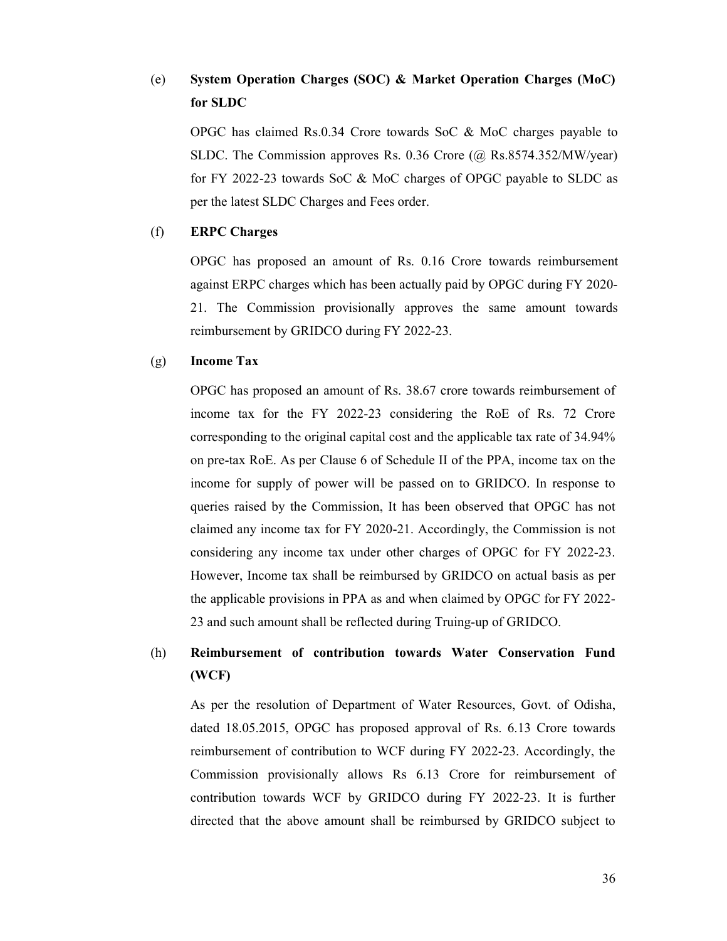# (e) System Operation Charges (SOC) & Market Operation Charges (MoC) for SLDC

OPGC has claimed Rs.0.34 Crore towards SoC & MoC charges payable to SLDC. The Commission approves Rs. 0.36 Crore (@ Rs.8574.352/MW/year) for FY 2022-23 towards SoC & MoC charges of OPGC payable to SLDC as per the latest SLDC Charges and Fees order.

# (f) ERPC Charges

OPGC has proposed an amount of Rs. 0.16 Crore towards reimbursement against ERPC charges which has been actually paid by OPGC during FY 2020- 21. The Commission provisionally approves the same amount towards reimbursement by GRIDCO during FY 2022-23.

### (g) Income Tax

OPGC has proposed an amount of Rs. 38.67 crore towards reimbursement of income tax for the FY 2022-23 considering the RoE of Rs. 72 Crore corresponding to the original capital cost and the applicable tax rate of 34.94% on pre-tax RoE. As per Clause 6 of Schedule II of the PPA, income tax on the income for supply of power will be passed on to GRIDCO. In response to queries raised by the Commission, It has been observed that OPGC has not claimed any income tax for FY 2020-21. Accordingly, the Commission is not considering any income tax under other charges of OPGC for FY 2022-23. However, Income tax shall be reimbursed by GRIDCO on actual basis as per the applicable provisions in PPA as and when claimed by OPGC for FY 2022- 23 and such amount shall be reflected during Truing-up of GRIDCO.

# (h) Reimbursement of contribution towards Water Conservation Fund (WCF)

As per the resolution of Department of Water Resources, Govt. of Odisha, dated 18.05.2015, OPGC has proposed approval of Rs. 6.13 Crore towards reimbursement of contribution to WCF during FY 2022-23. Accordingly, the Commission provisionally allows Rs 6.13 Crore for reimbursement of contribution towards WCF by GRIDCO during FY 2022-23. It is further directed that the above amount shall be reimbursed by GRIDCO subject to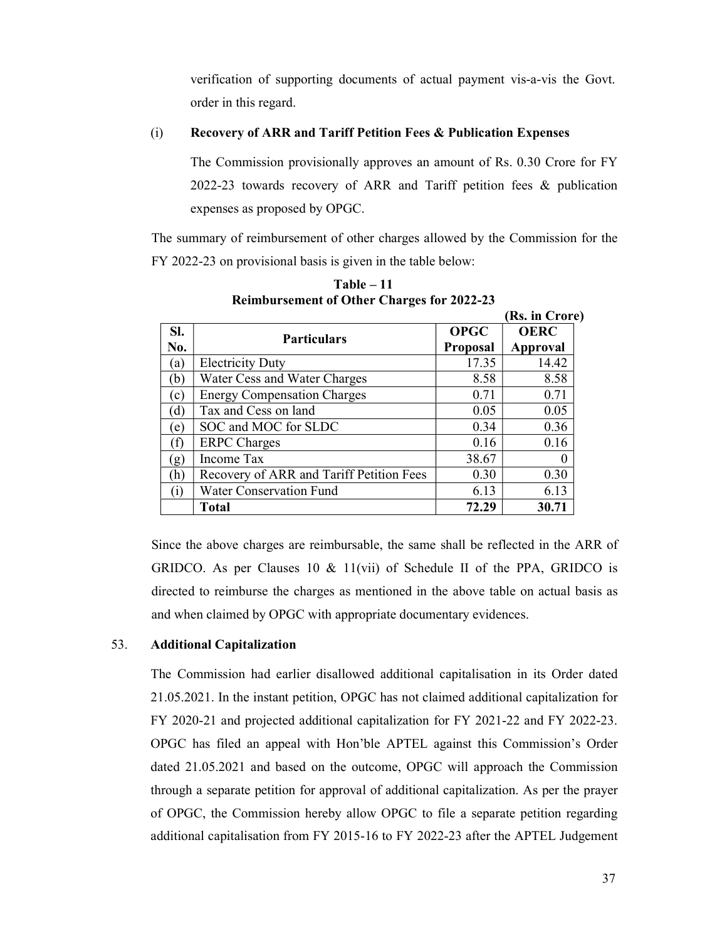verification of supporting documents of actual payment vis-a-vis the Govt. order in this regard.

#### (i) Recovery of ARR and Tariff Petition Fees & Publication Expenses

The Commission provisionally approves an amount of Rs. 0.30 Crore for FY 2022-23 towards recovery of ARR and Tariff petition fees & publication expenses as proposed by OPGC.

The summary of reimbursement of other charges allowed by the Commission for the FY 2022-23 on provisional basis is given in the table below:

|            | Remibut sement of Other Unarges for 2022-23<br>(Rs. in Crore) |                                |                          |  |  |
|------------|---------------------------------------------------------------|--------------------------------|--------------------------|--|--|
| SI.<br>No. | <b>Particulars</b>                                            | <b>OPGC</b><br><b>Proposal</b> | <b>OERC</b>              |  |  |
| (a)        | <b>Electricity Duty</b>                                       | 17.35                          | <b>Approval</b><br>14.42 |  |  |
| (b)        | Water Cess and Water Charges                                  | 8.58                           | 8.58                     |  |  |
| (c)        | <b>Energy Compensation Charges</b>                            | 0.71                           | 0.71                     |  |  |
| (d)        | Tax and Cess on land                                          | 0.05                           | 0.05                     |  |  |
| (e)        | SOC and MOC for SLDC                                          | 0.34                           | 0.36                     |  |  |
| (f)        | <b>ERPC</b> Charges                                           | 0.16                           | 0.16                     |  |  |
| (g)        | Income Tax                                                    | 38.67                          |                          |  |  |
| (h)        | Recovery of ARR and Tariff Petition Fees                      | 0.30                           | 0.30                     |  |  |
| (i)        | <b>Water Conservation Fund</b>                                | 6.13                           | 6.13                     |  |  |
|            | Total                                                         | 72.29                          | 30.71                    |  |  |

Table – 11 Reimbursement of Other Charges for 2022-23

Since the above charges are reimbursable, the same shall be reflected in the ARR of GRIDCO. As per Clauses 10 & 11(vii) of Schedule II of the PPA, GRIDCO is directed to reimburse the charges as mentioned in the above table on actual basis as and when claimed by OPGC with appropriate documentary evidences.

# 53. Additional Capitalization

The Commission had earlier disallowed additional capitalisation in its Order dated 21.05.2021. In the instant petition, OPGC has not claimed additional capitalization for FY 2020-21 and projected additional capitalization for FY 2021-22 and FY 2022-23. OPGC has filed an appeal with Hon'ble APTEL against this Commission's Order dated 21.05.2021 and based on the outcome, OPGC will approach the Commission through a separate petition for approval of additional capitalization. As per the prayer of OPGC, the Commission hereby allow OPGC to file a separate petition regarding additional capitalisation from FY 2015-16 to FY 2022-23 after the APTEL Judgement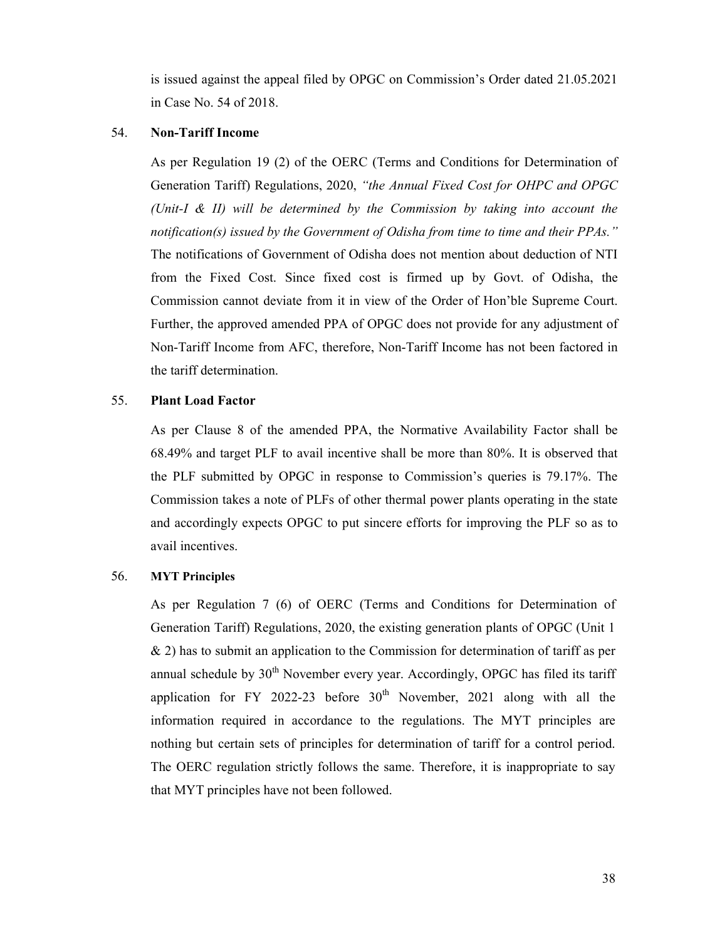is issued against the appeal filed by OPGC on Commission's Order dated 21.05.2021 in Case No. 54 of 2018.

#### 54. Non-Tariff Income

As per Regulation 19 (2) of the OERC (Terms and Conditions for Determination of Generation Tariff) Regulations, 2020, "the Annual Fixed Cost for OHPC and OPGC (Unit-I & II) will be determined by the Commission by taking into account the notification(s) issued by the Government of Odisha from time to time and their PPAs." The notifications of Government of Odisha does not mention about deduction of NTI from the Fixed Cost. Since fixed cost is firmed up by Govt. of Odisha, the Commission cannot deviate from it in view of the Order of Hon'ble Supreme Court. Further, the approved amended PPA of OPGC does not provide for any adjustment of Non-Tariff Income from AFC, therefore, Non-Tariff Income has not been factored in the tariff determination.

### 55. Plant Load Factor

As per Clause 8 of the amended PPA, the Normative Availability Factor shall be 68.49% and target PLF to avail incentive shall be more than 80%. It is observed that the PLF submitted by OPGC in response to Commission's queries is 79.17%. The Commission takes a note of PLFs of other thermal power plants operating in the state and accordingly expects OPGC to put sincere efforts for improving the PLF so as to avail incentives.

# 56. MYT Principles

As per Regulation 7 (6) of OERC (Terms and Conditions for Determination of Generation Tariff) Regulations, 2020, the existing generation plants of OPGC (Unit 1 & 2) has to submit an application to the Commission for determination of tariff as per annual schedule by 30<sup>th</sup> November every year. Accordingly, OPGC has filed its tariff application for FY 2022-23 before  $30<sup>th</sup>$  November, 2021 along with all the information required in accordance to the regulations. The MYT principles are nothing but certain sets of principles for determination of tariff for a control period. The OERC regulation strictly follows the same. Therefore, it is inappropriate to say that MYT principles have not been followed.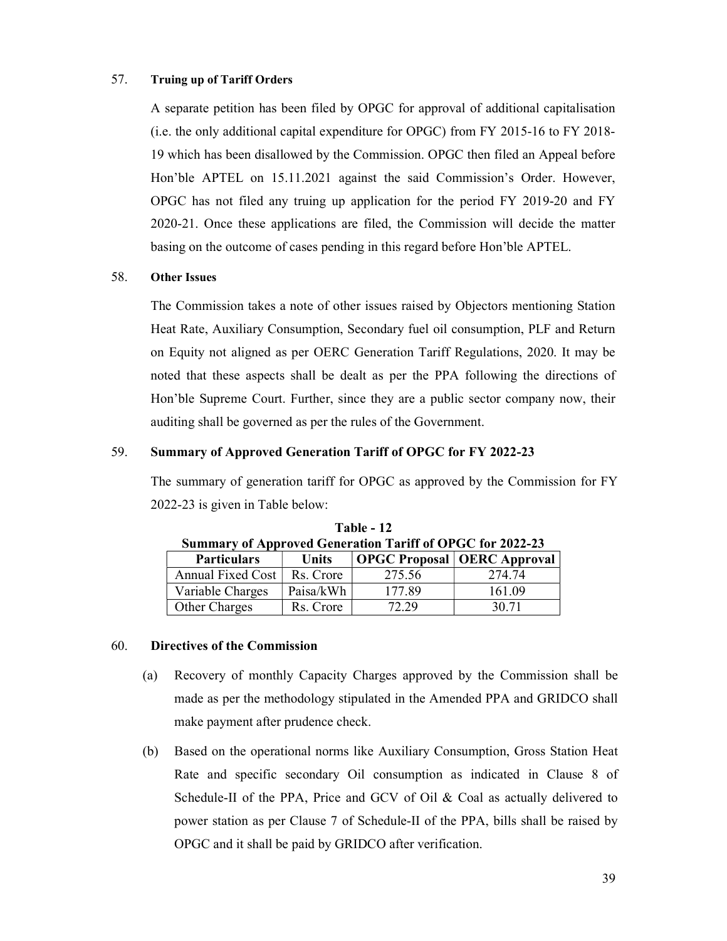# 57. Truing up of Tariff Orders

A separate petition has been filed by OPGC for approval of additional capitalisation (i.e. the only additional capital expenditure for OPGC) from FY 2015-16 to FY 2018- 19 which has been disallowed by the Commission. OPGC then filed an Appeal before Hon'ble APTEL on 15.11.2021 against the said Commission's Order. However, OPGC has not filed any truing up application for the period FY 2019-20 and FY 2020-21. Once these applications are filed, the Commission will decide the matter basing on the outcome of cases pending in this regard before Hon'ble APTEL.

# 58. Other Issues

The Commission takes a note of other issues raised by Objectors mentioning Station Heat Rate, Auxiliary Consumption, Secondary fuel oil consumption, PLF and Return on Equity not aligned as per OERC Generation Tariff Regulations, 2020. It may be noted that these aspects shall be dealt as per the PPA following the directions of Hon'ble Supreme Court. Further, since they are a public sector company now, their auditing shall be governed as per the rules of the Government.

# 59. Summary of Approved Generation Tariff of OPGC for FY 2022-23

The summary of generation tariff for OPGC as approved by the Commission for FY 2022-23 is given in Table below:

| <b>Summary of Approved Generation Tariff of OPGC for 2022-23</b> |           |        |                                      |  |
|------------------------------------------------------------------|-----------|--------|--------------------------------------|--|
| <b>Particulars</b>                                               | Units     |        | <b>OPGC Proposal   OERC Approval</b> |  |
| Annual Fixed Cost                                                | Rs. Crore | 275.56 | 274.74                               |  |
| Variable Charges                                                 | Paisa/kWh | 177.89 | 161.09                               |  |
| Other Charges                                                    | Rs. Crore | 72.29  | 30.71                                |  |

Table - 12

# 60. Directives of the Commission

- (a) Recovery of monthly Capacity Charges approved by the Commission shall be made as per the methodology stipulated in the Amended PPA and GRIDCO shall make payment after prudence check.
- (b) Based on the operational norms like Auxiliary Consumption, Gross Station Heat Rate and specific secondary Oil consumption as indicated in Clause 8 of Schedule-II of the PPA, Price and GCV of Oil & Coal as actually delivered to power station as per Clause 7 of Schedule-II of the PPA, bills shall be raised by OPGC and it shall be paid by GRIDCO after verification.